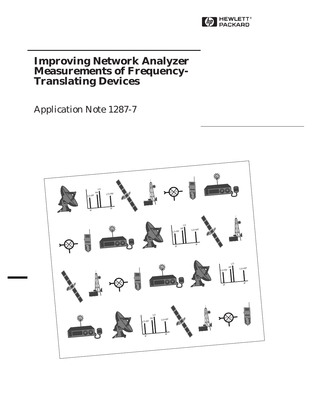

# **Improving Network Analyzer Measurements of Frequency-Translating Devices**

Application Note 1287-7

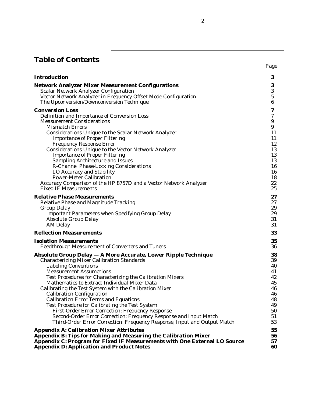# **Table of Contents**

| <b>Introduction</b>                                                                                              | 3                            |
|------------------------------------------------------------------------------------------------------------------|------------------------------|
| <b>Network Analyzer Mixer Measurement Configurations</b><br><b>Scalar Network Analyzer Configuration</b>         | $\bf{3}$<br>$\bf 3$          |
| Vector Network Analyzer in Frequency Offset Mode Configuration<br>The Upconversion/Downconversion Technique      | ${\bf 5}$<br>$6\phantom{1}6$ |
| <b>Conversion Loss</b>                                                                                           | 7                            |
| Definition and Importance of Conversion Loss                                                                     | $\boldsymbol{7}$             |
| <b>Measurement Considerations</b>                                                                                | 9                            |
| <b>Mismatch Errors</b><br><b>Considerations Unique to the Scalar Network Analyzer</b>                            | 9<br>11                      |
| <b>Importance of Proper Filtering</b>                                                                            | 11                           |
| <b>Frequency Response Error</b>                                                                                  | 12                           |
| <b>Considerations Unique to the Vector Network Analyzer</b>                                                      | 13                           |
| <b>Importance of Proper Filtering</b>                                                                            | 13                           |
| <b>Sampling Architecture and Issues</b>                                                                          | 13                           |
| <b>R-Channel Phase-Locking Considerations</b>                                                                    | 16                           |
| LO Accuracy and Stability<br><b>Power-Meter Calibration</b>                                                      | 16<br>18                     |
| Accuracy Comparison of the HP 8757D and a Vector Network Analyzer                                                | 22                           |
| <b>Fixed IF Measurements</b>                                                                                     | 25                           |
| <b>Relative Phase Measurements</b>                                                                               | 27                           |
| <b>Relative Phase and Magnitude Tracking</b>                                                                     | 27                           |
| <b>Group Delay</b>                                                                                               | 29                           |
| <b>Important Parameters when Specifying Group Delay</b>                                                          | 29                           |
| <b>Absolute Group Delay</b>                                                                                      | 31                           |
| <b>AM Delay</b>                                                                                                  | 31                           |
| <b>Reflection Measurements</b>                                                                                   | 33                           |
| <b>Isolation Measurements</b>                                                                                    | 35                           |
| <b>Feedthrough Measurement of Converters and Tuners</b>                                                          | 36                           |
| <b>Absolute Group Delay - A More Accurate, Lower Ripple Technique</b>                                            | 38                           |
| <b>Characterizing Mixer Calibration Standards</b><br><b>Labeling Conventions</b>                                 | 39<br>40                     |
| <b>Measurement Assumptions</b>                                                                                   | 41                           |
| Test Procedures for Characterizing the Calibration Mixers                                                        | 42                           |
| Mathematics to Extract Individual Mixer Data                                                                     | 45                           |
| Calibrating the Test System with the Calibration Mixer                                                           | 46                           |
| <b>Calibration Configuration</b>                                                                                 | 46                           |
| <b>Calibration Error Terms and Equations</b>                                                                     | 48                           |
| <b>Test Procedure for Calibrating the Test System</b><br><b>First-Order Error Correction: Frequency Response</b> | 49<br>50                     |
| Second-Order Error Correction: Frequency Response and Input Match                                                | 51                           |
| Third-Order Error Correction: Frequency Response, Input and Output Match                                         | 53                           |
| <b>Appendix A: Calibration Mixer Attributes</b>                                                                  | 55                           |
| Appendix B: Tips for Making and Measuring the Calibration Mixer                                                  | 56                           |
| Appendix C: Program for Fixed IF Measurements with One External LO Source                                        | 57                           |
| <b>Appendix D: Application and Product Notes</b>                                                                 | 60                           |

2

Page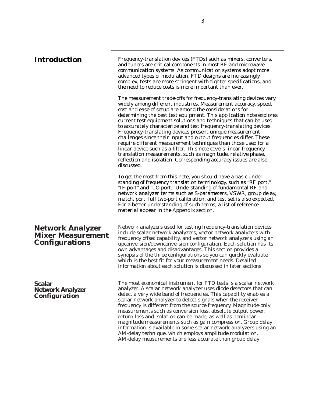**Introduction** Frequency-translation devices (FTDs) such as mixers, converters, and tuners are critical components in most RF and microwave communication systems. As communication systems adopt more advanced types of modulation, FTD designs are increasingly complex, tests are more stringent with tighter specifications, and the need to reduce costs is more important than ever.

> The measurement trade-offs for frequency-translating devices vary widely among different industries. Measurement accuracy, speed, cost and ease of setup are among the considerations for determining the best test equipment. This application note explores current test equipment solutions and techniques that can be used to accurately characterize and test frequency-translating devices. Frequency-translating devices present unique measurement challenges since their input and output frequencies differ. These require different measurement techniques than those used for a linear device such as a filter. This note covers linear frequencytranslation measurements, such as magnitude, relative phase, reflection and isolation. Corresponding accuracy issues are also discussed.

> To get the most from this note, you should have a basic understanding of frequency translation terminology, such as "RF port," "IF port" and "LO port." Understanding of fundamental RF and network analyzer terms such as S-parameters, VSWR, group delay, match, port, full two-port calibration, and test set is also expected. For a better understanding of such terms, a list of reference material appear in the *Appendix* section.

Network analyzers used for testing frequency-translation devices include scalar network analyzers, vector network analyzers with frequency offset capability, and vector network analyzers using an upconversion/downconversion configuration. Each solution has its own advantages and disadvantages. This section provides a synopsis of the three configurations so you can quickly evaluate which is the best fit for your measurement needs. Detailed information about each solution is discussed in later sections.

# **Scalar Network Analyzer Configuration**

**Network Analyzer Mixer Measurement**

**Configurations**

The most economical instrument for FTD tests is a scalar network analyzer. A scalar network analyzer uses diode detectors that can detect a very wide band of frequencies. This capability enables a scalar network analyzer to detect signals when the receiver frequency is different from the source frequency. Magnitude-only measurements such as conversion loss, absolute output power, return loss and isolation can be made, as well as nonlinear magnitude measurements such as gain compression. Group delay information is available in some scalar network analyzers using an AM-delay technique, which employs amplitude modulation. AM-delay measurements are less accurate than group delay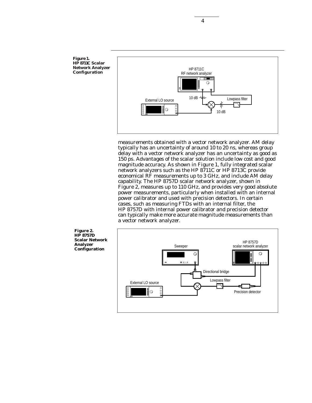

measurements obtained with a vector network analyzer. AM delay typically has an uncertainty of around 10 to 20 ns, whereas group delay with a vector network analyzer has an uncertainty as good as 150 ps. Advantages of the scalar solution include low cost and good magnitude accuracy. As shown in Figure 1, fully integrated scalar network analyzers such as the HP 8711C or HP 8713C provide economical RF measurements up to 3 GHz, and include AM delay capability. The HP 8757D scalar network analyzer, shown in Figure 2, measures up to 110 GHz, and provides very good absolute power measurements, particularly when installed with an internal power calibrator and used with precision detectors. In certain cases, such as measuring FTDs with an internal filter, the HP 8757D with internal power calibrator and precision detector can typically make more accurate magnitude measurements than a vector network analyzer.



**Figure 1. HP 8711C Scalar Network Analyzer Configuration**

4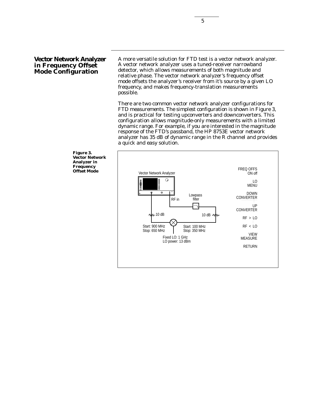# **Vector Network Analyzer in Frequency Offset Mode Configuration**

A more versatile solution for FTD test is a vector network analyzer. A vector network analyzer uses a tuned-receiver narrowband detector, which allows measurements of both magnitude and relative phase. The vector network analyzer's frequency offset mode offsets the analyzer's receiver from it's source by a given LO frequency, and makes frequency-translation measurements possible.

There are two common vector network analyzer configurations for FTD measurements. The simplest configuration is shown in Figure 3, and is practical for testing upconverters and downconverters. This configuration allows magnitude-only measurements with a limited dynamic range. For example, if you are interested in the magnitude response of the FTD's passband, the HP 8753E vector network analyzer has 35 dB of dynamic range in the R channel and provides a quick and easy solution.



**Figure 3. Vector Network Analyzer in Frequency**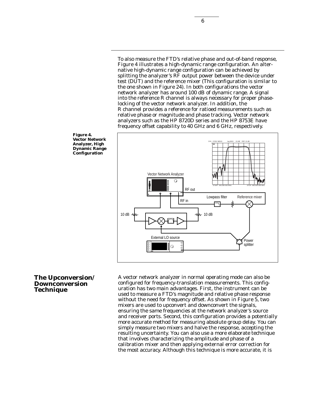To also measure the FTD's relative phase and out-of-band response, Figure 4 illustrates a high-dynamic range configuration. An alternative high-dynamic range configuration can be achieved by splitting the analyzer's RF output power between the device under test (DUT) and the reference mixer (This configuration is similar to the one shown in Figure 24). In both configurations the vector network analyzer has around 100 dB of dynamic range. A signal into the reference R channel is always necessary for proper phaselocking of the vector network analyzer. In addition, the R channel provides a reference for ratioed measurements such as relative phase or magnitude and phase tracking. Vector network analyzers such as the HP 8720D series and the HP 8753E have frequency offset capability to 40 GHz and 6 GHz, respectively.



**Figure 4. Vector Network Analyzer, High Dynamic Range Configuration**

# **The Upconversion/ Downconversion Technique**

A vector network analyzer in normal operating mode can also be configured for frequency-translation measurements. This configuration has two main advantages. First, the instrument can be used to measure a FTD's magnitude and relative phase response without the need for frequency offset. As shown in Figure 5, two mixers are used to upconvert and downconvert the signals, ensuring the same frequencies at the network analyzer's source and receiver ports. Second, this configuration provides a potentially more accurate method for measuring absolute group delay. You can simply measure two mixers and halve the response, accepting the resulting uncertainty. You can also use a more elaborate technique that involves characterizing the amplitude and phase of a calibration mixer and then applying external error correction for the most accuracy. Although this technique is more accurate, it is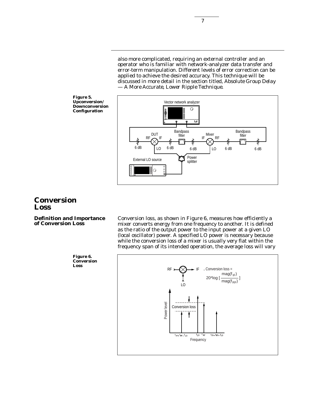7

also more complicated, requiring an external controller and an operator who is familiar with network-analyzer data transfer and error-term manipulation. Different levels of error correction can be applied to achieve the desired accuracy. This technique will be discussed in more detail in the section titled, *Absolute Group Delay — A More Accurate, Lower Ripple Technique.*

DUT<sub>IE</sub> Bandpass Bandpass Bandpass<br>DUT<sub>IE</sub> filter <sub>IF</sub>Mixer

LO

6 dB 6 dB 6 dB 6 dB 6 dB

Power splitter

IF <u>I</u> IF A RF

Vector network analyzer

Bandpass filter



External LO source

LO

 $\odot$ 

# **Conversion Loss**

**Definition and Importance of Conversion Loss**

Conversion loss, as shown in Figure 6, measures how efficiently a mixer converts energy from one frequency to another. It is defined as the ratio of the output power to the input power at a given LO (local oscillator) power. A specified LO power is necessary because while the conversion loss of a mixer is usually very flat within the frequency span of its intended operation, the average loss will vary



**Figure 6. Conversion Loss**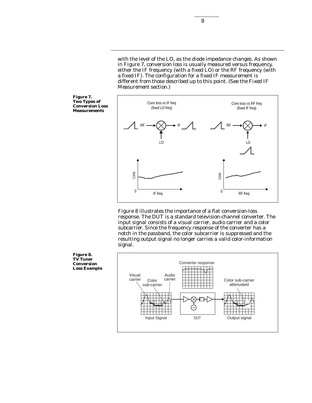with the level of the LO, as the diode impedance changes. As shown in Figure 7, conversion loss is usually measured versus frequency, either the IF frequency (with a fixed LO) or the RF frequency (with a fixed IF). The configuration for a fixed IF measurement is different from those described up to this point. (See the *Fixed IF Measurement* section.)

8

**Figure 7. Two Types of Conversion Loss Measurements**



Figure 8 illustrates the importance of a flat conversion-loss response. The DUT is a standard television-channel converter. The input signal consists of a visual carrier, audio carrier and a color subcarrier. Since the frequency response of the converter has a notch in the passband, the color subcarrier is suppressed and the resulting output signal no longer carries a valid color-information signal.

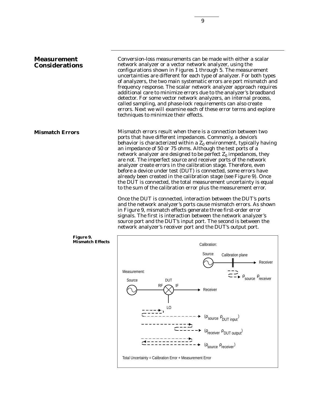# **Measurement Considerations**

**Mismatch Errors**

Conversion-loss measurements can be made with either a scalar network analyzer or a vector network analyzer, using the configurations shown in Figures 1 through 5. The measurement uncertainties are different for each type of analyzer. For both types of analyzers, the two main systematic errors are port mismatch and frequency response. The scalar network analyzer approach requires additional care to minimize errors due to the analyzer's broadband detector. For some vector network analyzers, an internal process, called sampling, and phase-lock requirements can also create errors. Next we will examine each of these error terms and explore techniques to minimize their effects.

Mismatch errors result when there is a connection between two ports that have different impedances. Commonly, a device's behavior is characterized within a  $Z_0$  environment, typically having an impedance of 50 or 75 ohms. Although the test ports of a network analyzer are designed to be perfect  $Z_0$  impedances, they are not. The imperfect source and receiver ports of the network analyzer create errors in the calibration stage. Therefore, even before a device under test (DUT) is connected, some errors have already been created in the calibration stage (see Figure 9). Once the DUT is connected, the total measurement uncertainty is equal to the sum of the calibration error plus the measurement error.

> Once the DUT is connected, interaction between the DUT's ports and the network analyzer's ports cause mismatch errors. As shown in Figure 9, mismatch effects generate three first-order error signals. The first is interaction between the network analyzer's source port and the DUT's input port. The second is between the network analyzer's receiver port and the DUT's output port.



#### **Figure 9. Mismatch Effects**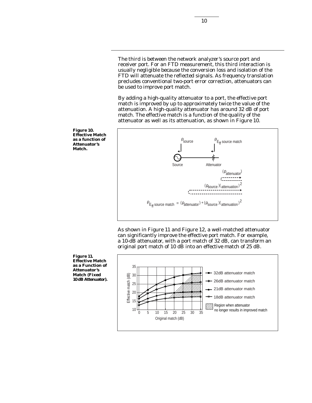The third is between the network analyzer's source port and receiver port. For an FTD measurement, this third interaction is usually negligible because the conversion loss and isolation of the FTD will attenuate the reflected signals. As frequency translation precludes conventional two-port error correction, attenuators can be used to improve port match.

By adding a high-quality attenuator to a port, the effective port match is improved by up to approximately twice the value of the attenuation. A high-quality attenuator has around 32 dB of port match. The effective match is a function of the quality of the attenuator as well as its attenuation, as shown in Figure 10.



As shown in Figure 11 and Figure 12, a well-matched attenuator can significantly improve the effective port match. For example, a 10-dB attenuator, with a port match of 32 dB, can transform an original port match of 10 dB into an effective match of 25 dB.



**Figure 10. Effective Match as a function of Attenuator's Match.**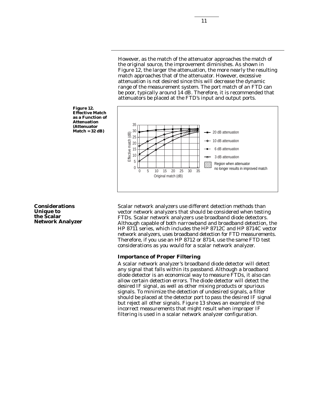However, as the match of the attenuator approaches the match of the original source, the improvement diminishes. As shown in Figure 12, the larger the attenuation, the more nearly the resulting match approaches that of the attenuator. However, excessive attenuation is not desired since this will decrease the dynamic range of the measurement system. The port match of an FTD can be poor, typically around 14 dB. Therefore, it is recommended that attenuators be placed at the FTD's input and output ports.



**Figure 12. Effective Match as a Function of Attenuation (Attenuator Match = 32 dB)**

**Considerations Unique to the Scalar Network Analyzer** Scalar network analyzers use different detection methods than vector network analyzers that should be considered when testing FTDs. Scalar network analyzers use broadband diode detectors. Although capable of both narrowband and broadband detection, the HP 8711 series, which includes the HP 8712C and HP 8714C vector network analyzers, uses broadband detection for FTD measurements. Therefore, if you use an HP 8712 or 8714, use the same FTD test considerations as you would for a scalar network analyzer.

#### **Importance of Proper Filtering**

A scalar network analyzer's broadband diode detector will detect any signal that falls within its passband. Although a broadband diode detector is an economical way to measure FTDs, it also can allow certain detection errors. The diode detector will detect the desired IF signal, as well as other mixing products or spurious signals. To minimize the detection of undesired signals, a filter should be placed at the detector port to pass the desired IF signal but reject all other signals. Figure 13 shows an example of the incorrect measurements that might result when improper IF filtering is used in a scalar network analyzer configuration.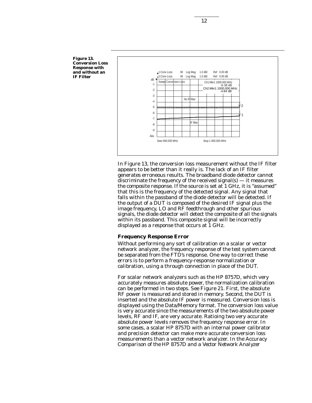

In Figure 13, the conversion loss measurement without the IF filter appears to be better than it really is. The lack of an IF filter generates erroneous results. The broadband diode detector cannot discriminate the frequency of the received signal(s)  $-$  it measures the composite response. If the source is set at 1 GHz, it is "assumed" that this is the frequency of the detected signal. Any signal that falls within the passband of the diode detector will be detected. If the output of a DUT is composed of the desired IF signal plus the image frequency, LO and RF feedthrough and other spurious signals, the diode detector will detect the composite of all the signals within its passband. This composite signal will be incorrectly displayed as a response that occurs at 1 GHz.

#### **Frequency Response Error**

Without performing any sort of calibration on a scalar or vector network analyzer, the frequency response of the test system cannot be separated from the FTD's response. One way to correct these errors is to perform a frequency-response normalization or calibration, using a through connection in place of the DUT.

For scalar network analyzers such as the HP 8757D, which very accurately measures absolute power, the normalization calibration can be performed in two steps. See Figure 21. First, the absolute RF power is measured and stored in memory. Second, the DUT is inserted and the absolute IF power is measured. Conversion loss is displayed using the Data/Memory format. The conversion loss value is very accurate since the measurements of the two absolute power levels, RF and IF, are very accurate. Ratioing two very accurate absolute power levels removes the frequency response error. In some cases, a scalar HP 8757D with an internal power calibrator and precision detector can make more accurate conversion loss measurements than a vector network analyzer. In the *Accuracy Comparison of the HP 8757D and a Vector Network Analyzer*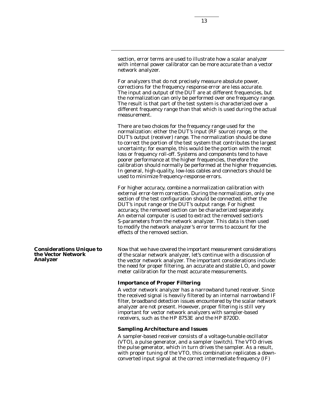section, error terms are used to illustrate how a scalar analyzer with internal power calibrator can be more accurate than a vector network analyzer.

For analyzers that do not precisely measure absolute power, corrections for the frequency response error are less accurate. The input and output of the DUT are at different frequencies, but the normalization can only be performed over one frequency range. The result is that part of the test system is characterized over a different frequency range than that which is used during the actual measurement.

There are two choices for the frequency range used for the normalization: either the DUT's input (RF source) range, or the DUT's output (receiver) range. The normalization should be done to correct the portion of the test system that contributes the largest uncertainty; for example, this would be the portion with the most loss or frequency roll-off. Systems and components tend to have poorer performance at the higher frequencies, therefore the calibration should normally be performed at the higher frequencies. In general, high-quality, low-loss cables and connectors should be used to minimize frequency-response errors.

For higher accuracy, combine a normalization calibration with external error-term correction. During the normalization, only one section of the test configuration should be connected, either the DUT's input range or the DUT's output range. For highest accuracy, the removed section can be characterized separately. An external computer is used to extract the removed section's S-parameters from the network analyzer. This data is then used to modify the network analyzer's error terms to account for the effects of the removed section.

Now that we have covered the important measurement considerations of the scalar network analyzer, let's continue with a discussion of the vector network analyzer. The important considerations include: the need for proper filtering, an accurate and stable LO, and power meter calibration for the most accurate measurements.

## **Importance of Proper Filtering**

A vector network analyzer has a narrowband tuned receiver. Since the received signal is heavily filtered by an internal narrowband IF filter, broadband detection issues encountered by the scalar network analyzer are not present. However, proper filtering is still very important for vector network analyzers with sampler-based receivers, such as the HP 8753E and the HP 8720D.

## **Sampling Architecture and Issues**

A sampler-based receiver consists of a voltage-tunable oscillator (VTO), a pulse generator, and a sampler (switch). The VTO drives the pulse generator, which in turn drives the sampler. As a result, with proper tuning of the VTO, this combination replicates a downconverted input signal at the correct intermediate frequency (IF)

**Considerations Unique to the Vector Network Analyzer**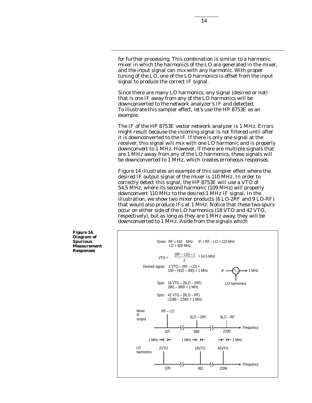for further processing. This combination is similar to a harmonic mixer in which the harmonics of the LO are generated in the mixer, and the input signal can mix with any harmonic. With proper tuning of the LO, one of the LO harmonics is offset from the input signal to produce the correct IF signal.

Since there are many LO harmonics, any signal (desired or not) that is one IF away from any of the LO harmonics will be downconverted to the network analyzer's IF and detected. To illustrate this sampler effect, let's use the HP 8753E as an example.

The IF of the HP 8753E vector network analyzer is 1 MHz. Errors might result because the incoming signal is not filtered until after it is downconverted to the IF. If there is only one signal at the receiver, this signal will mix with one LO harmonic and is properly downconvert to 1 MHz. However, if there are multiple signals that are 1 MHz away from any of the LO harmonics, these signals will be downconverted to 1 MHz, which creates erroneous responses.

Figure 14 illustrates an example of this sampler effect where the desired IF output signal of the mixer is 110 MHz. In order to correctly detect this signal, the HP 8753E will use a VTO of 54.5 MHz, where its second harmonic (109 MHz) will properly downconvert 110 MHz to the desired 1 MHz IF signal. In the illustration, we show two mixer products (6 LO-2RF and 9 LO-RF) that would also produce IFs at  $1$  MHz. Notice that these two spurs occur on either side of the LO harmonics (18 VTO and 42 VTO, respectively), but as long as they are 1 MHz away, they will be downconverted to 1 MHz. Aside from the signals which

**Figure 14. Diagram of Spurious Measurement Responses**

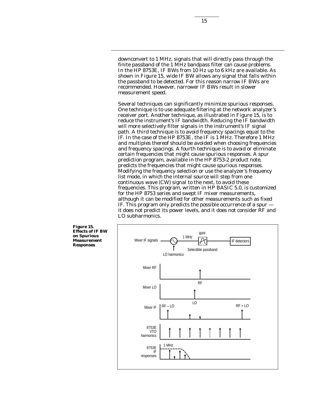downconvert to 1 MHz, signals that will directly pass through the finite passband of the 1 MHz bandpass filter can cause problems. In the HP 8753E, IF BWs from 10 Hz up to 6 kHz are available. As shown in Figure 15, wide IF BW allows any signal that falls within the passband to be detected. For this reason narrow IF BWs are recommended. However, narrower IF BWs result in slower measurement speed.

Several techniques can significantly minimize spurious responses. One technique is to use adequate filtering at the network analyzer's receiver port. Another technique, as illustrated in Figure 15, is to reduce the instrument's IF bandwidth. Reducing the IF bandwidth will more selectively filter signals in the instrument's IF signal path. A third technique is to avoid frequency spacings equal to the IF. In the case of the HP 8753E, the IF is 1 MHz. Therefore 1 MHz and multiples thereof should be avoided when choosing frequencies and frequency spacings. A fourth technique is to avoid or eliminate certain frequencies that might cause spurious responses. A spur prediction program, available in the HP 8753-2 product note, predicts the frequencies that might cause spurious responses. Modifying the frequency selection or use the analyzer's frequency list mode, in which the internal source will step from one continuous wave (CW) signal to the next, to avoid these frequencies. This program, written in HP BASIC 5.0, is customized for the HP 8753 series and swept IF mixer measurements, although it can be modified for other measurements such as fixed IF. This program only predicts the possible occurrence of a spur it does not predict its power levels, and it does not consider RF and LO subharmonics.

**Figure 15. Effects of IF BW on Spurious Measurement Responses**

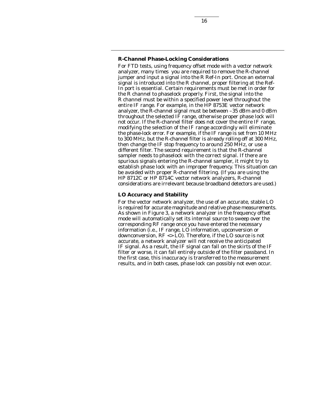# **R-Channel Phase-Locking Considerations**

For FTD tests, using frequency offset mode with a vector network analyzer, many times you are required to remove the R-channel jumper and input a signal into the R Ref-In port. Once an external signal is introduced into the R channel, proper filtering at the Ref-In port is essential. Certain requirements must be met in order for the R channel to phaselock properly. First, the signal into the R channel must be within a specified power level throughout the entire IF range. For example, in the HP 8753E vector network analyzer, the R-channel signal must be between –35 dBm and 0 dBm throughout the selected IF range, otherwise proper phase lock will not occur. If the R-channel filter does not cover the entire IF range, modifying the selection of the IF range accordingly will eliminate the phase-lock error. For example, if the IF range is set from 10 MHz to 300 MHz, but the R-channel filter is already rolling off at 300 MHz, then change the IF stop frequency to around 250 MHz, or use a different filter. The second requirement is that the R-channel sampler needs to phaselock with the correct signal. If there are spurious signals entering the R-channel sampler, it might try to establish phase lock with an improper frequency. This situation can be avoided with proper R-channel filtering. (If you are using the HP 8712C or HP 8714C vector network analyzers, R-channel considerations are irrelevant because broadband detectors are used.)

# **LO Accuracy and Stability**

For the vector network analyzer, the use of an accurate, stable LO is required for accurate magnitude and relative phase measurements. As shown in Figure 3, a network analyzer in the frequency offset mode will automatically set its internal source to sweep over the corresponding RF range once you have entered the necessary information (i.e., IF range, LO information, upconversion or downconversion, RF <> LO). Therefore, if the LO source is not accurate, a network analyzer will not receive the anticipated IF signal. As a result, the IF signal can fall on the skirts of the IF filter or worse, it can fall entirely outside of the filter passband. In the first case, this inaccuracy is transferred to the measurement results, and in both cases, phase lock can possibly not even occur.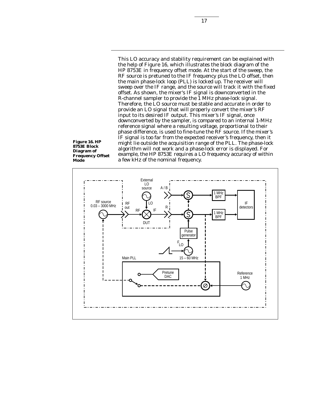This LO accuracy and stability requirement can be explained with the help of Figure 16, which illustrates the block diagram of the HP 8753E in frequency offset mode. At the start of the sweep, the RF source is pretuned to the IF frequency plus the LO offset, then the main phase-lock loop (PLL) is locked up. The receiver will sweep over the IF range, and the source will track it with the fixed offset. As shown, the mixer's IF signal is downconverted in the R-channel sampler to provide the 1 MHz phase-lock signal. Therefore, the LO source must be stable and accurate in order to provide an LO signal that will properly convert the mixer's RF input to its desired IF output. This mixer's IF signal, once downconverted by the sampler, is compared to an internal 1-MHz reference signal where a resulting voltage, proportional to their phase difference, is used to fine-tune the RF source. If the mixer's IF signal is too far from the expected receiver's frequency, then it might lie outside the acquisition range of the PLL. The phase-lock algorithm will not work and a phase-lock error is displayed. For example, the HP 8753E requires a LO frequency accuracy of within a few kHz of the nominal frequency.

**Figure 16. HP 8753E Block Diagram of Frequency Offset Mode**

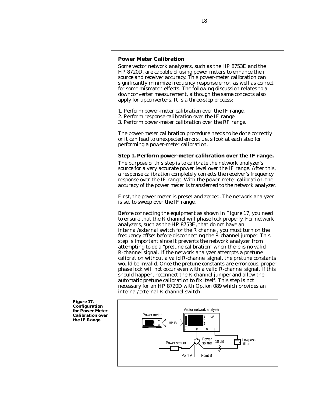# **Power Meter Calibration**

Some vector network analyzers, such as the HP 8753E and the HP 8720D, are capable of using power meters to enhance their source and receiver accuracy. This power-meter calibration can significantly minimize frequency response error, as well as correct for some mismatch effects. The following discussion relates to a downconverter measurement, although the same concepts also apply for upconverters. It is a three-step process:

- 1. Perform power-meter calibration over the IF range.
- 2. Perform response calibration over the IF range.
- 3. Perform power-meter calibration over the RF range.

The power-meter calibration procedure needs to be done correctly or it can lead to unexpected errors. Let's look at each step for performing a power-meter calibration.

#### **Step 1. Perform power-meter calibration over the IF range.**

The purpose of this step is to calibrate the network analyzer's source for a very accurate power level over the IF range. After this, a response calibration completely corrects the receiver's frequency response over the IF range. With the power-meter calibration, the accuracy of the power meter is transferred to the network analyzer.

First, the power meter is preset and zeroed. The network analyzer is set to sweep over the IF range.

Before connecting the equipment as shown in Figure 17, you need to ensure that the R channel will phase lock properly. For network analyzers, such as the HP 8753E, that do not have an internal/external switch for the R channel, you must turn on the frequency offset before disconnecting the R-channel jumper. This step is important since it prevents the network analyzer from attempting to do a "pretune calibration" when there is no valid R-channel signal. If the network analyzer attempts a pretune calibration without a valid R-channel signal, the pretune constants would be invalid. Once the pretune constants are erroneous, proper phase lock will not occur even with a valid R-channel signal. If this should happen, reconnect the R-channel jumper and allow the automatic pretune calibration to fix itself. This step is not necessary for an HP 8720D with Option 089 which provides an internal/external R-channel switch.



**Figure 17. Configuration for Power Meter Calibration over the IF Range**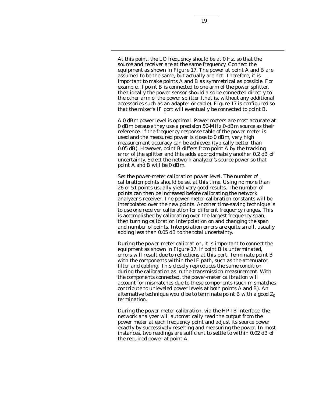At this point, the LO frequency should be at 0 Hz, so that the source and receiver are at the same frequency. Connect the equipment as shown in Figure 17. The power at point A and B are assumed to be the same, but actually are not. Therefore, it is important to make points A and B as symmetrical as possible. For example, if point B is connected to one arm of the power splitter, then ideally the power sensor should also be connected directly to the other arm of the power splitter (that is, without any additional accessories such as an adapter or cable). Figure 17 is configured so that the mixer's IF port will eventually be connected to point B.

A 0 dBm power level is optimal. Power meters are most accurate at 0 dBm because they use a precision 50-MHz 0-dBm source as their reference. If the frequency response table of the power meter is used and the measured power is close to 0 dBm, very high measurement accuracy can be achieved (typically better than 0.05 dB). However, point B differs from point A by the tracking error of the splitter and this adds approximately another 0.2 dB of uncertainty. Select the network analyzer's source power so that point A and B will be 0 dBm.

Set the power-meter calibration power level. The number of calibration points should be set at this time. Using no more than 26 or 51 points usually yield very good results. The number of points can then be increased before calibrating the network analyzer's receiver. The power-meter calibration constants will be interpolated over the new points. Another time-saving technique is to use one receiver calibration for different frequency ranges. This is accomplished by calibrating over the largest frequency span, then turning calibration interpolation on and changing the span and number of points. Interpolation errors are quite small, usually adding less than 0.05 dB to the total uncertainty.

During the power-meter calibration, it is important to connect the equipment as shown in Figure 17. If point B is unterminated, errors will result due to reflections at this port. Terminate point B with the components within the IF path, such as the attenuator, filter and cabling. This closely reproduces the same condition during the calibration as in the transmission measurement. With the components connected, the power-meter calibration will account for mismatches due to these components (such mismatches contribute to unleveled power levels at both points A and B). An alternative technique would be to terminate point B with a good  $Z_0$ termination.

During the power meter calibration, via the HP-IB interface, the network analyzer will automatically read the output from the power meter at each frequency point and adjust its source power exactly by successively resetting and measuring the power. In most instances, two readings are sufficient to settle to within 0.02 dB of the required power at point A.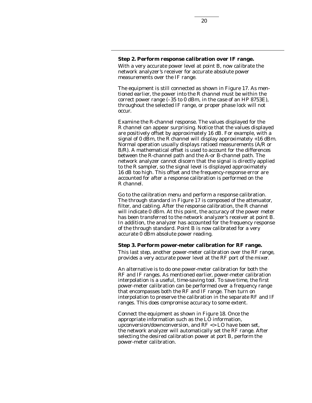# **Step 2. Perform response calibration over IF range.**

With a very accurate power level at point B, now calibrate the network analyzer's receiver for accurate absolute power measurements over the IF range.

The equipment is still connected as shown in Figure 17. As mentioned earlier, the power into the R channel must be within the correct power range (–35 to 0 dBm, in the case of an HP 8753E), throughout the selected IF range, or proper phase lock will not occur.

Examine the R-channel response. The values displayed for the R channel can appear surprising. Notice that the values displayed are positively offset by approximately 16 dB. For example, with a signal of 0 dBm, the R channel will display approximately  $+16$  dBm. Normal operation usually displays ratioed measurements (A/R or B/R). A mathematical offset is used to account for the differences between the R-channel path and the A-or B-channel path. The network analyzer cannot discern that the signal is directly applied to the R sampler, so the signal level is displayed approximately 16 dB too high. This offset and the frequency-response error are accounted for after a response calibration is performed on the R channel.

Go to the calibration menu and perform a response calibration. The through standard in Figure 17 is composed of the attenuator, filter, and cabling. After the response calibration, the R channel will indicate 0 dBm. At this point, the accuracy of the power meter has been transferred to the network analyzer's receiver at point B. In addition, the analyzer has accounted for the frequency response of the through standard. Point B is now calibrated for a very accurate 0 dBm absolute power reading.

#### **Step 3. Perform power-meter calibration for RF range.**

This last step, another power-meter calibration over the RF range, provides a very accurate power level at the RF port of the mixer.

An alternative is to do one power-meter calibration for both the RF and IF ranges. As mentioned earlier, power-meter calibration interpolation is a useful, time-saving tool. To save time, the first power-meter calibration can be performed over a frequency range that encompasses both the RF and IF range. Then turn on interpolation to preserve the calibration in the separate RF and IF ranges. This does compromise accuracy to some extent.

Connect the equipment as shown in Figure 18. Once the appropriate information such as the LO information, upconversion/downconversion, and RF <> LO have been set, the network analyzer will automatically set the RF range. After selecting the desired calibration power at port B, perform the power-meter calibration.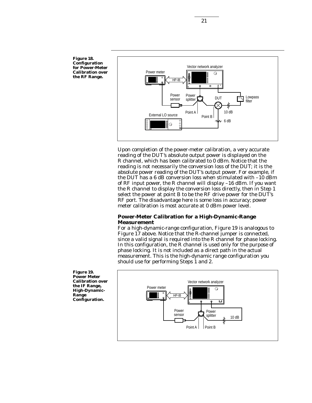

Upon completion of the power-meter calibration, a very accurate reading of the DUT's absolute output power is displayed on the R channel, which has been calibrated to 0 dBm. Notice that the reading is not necessarily the conversion loss of the DUT; it is the absolute power reading of the DUT's output power. For example, if the DUT has a 6 dB conversion loss when stimulated with –10 dBm of RF input power, the R channel will display –16 dBm. If you want the R channel to display the conversion loss directly, then in Step 1 select the power at point B to be the RF drive power for the DUT's RF port. The disadvantage here is some loss in accuracy; power meter calibration is most accurate at 0 dBm power level.

# **Power-Meter Calibration for a High-Dynamic-Range Measurement**

For a high-dynamic-range configuration, Figure 19 is analogous to Figure 17 above. Notice that the R-channel jumper is connected, since a valid signal is required into the R channel for phase locking. In this configuration, the R channel is used only for the purpose of phase locking. It is not included as a direct path in the actual measurement. This is the high-dynamic range configuration you should use for performing Steps 1 and 2.



**Figure 19. Power Meter Calibration over the IF Range, High-Dynamic-Range Configuration.**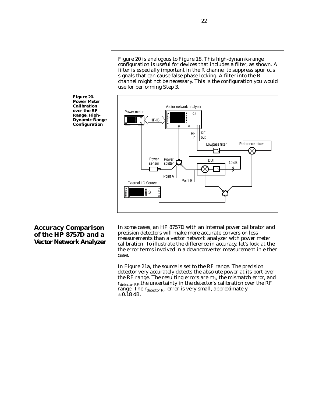Figure 20 is analogous to Figure 18. This high-dynamic-range configuration is useful for devices that includes a filter, as shown. A filter is especially important in the R channel to suppress spurious signals that can cause false phase locking. A filter into the B channel might not be necessary. This is the configuration you would use for performing Step 3.



**Figure 20. Power Meter Calibration over the RF Range, High-Dynamic-Range Configuration**

# **Accuracy Comparison of the HP 8757D and a Vector Network Analyzer**

In some cases, an HP 8757D with an internal power calibrator and precision detectors will make more accurate conversion loss measurements than a vector network analyzer with power meter calibration. To illustrate the difference in accuracy, let's look at the the error terms involved in a downconverter measurement in either case.

In Figure 21a, the source is set to the RF range. The precision detector very accurately detects the absolute power at its port over the RF range. The resulting errors are  $m_1$ , the mismatch error, and  $r_{\text{detector RF}},$  the uncertainty in the detector's calibration over the RF range. The  $r_{\text{detector RF}}$  error is very small, approximately  $\pm$  0.18 dB.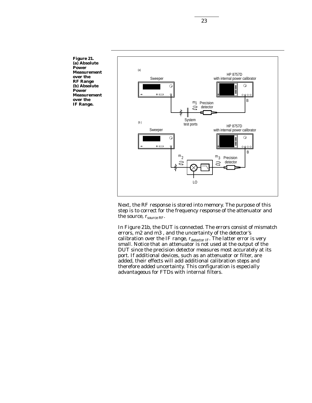**Figure 21. (a) Absolute Power Measurement over the RF Range (b) Absolute Power Measurement over the IF Range.**



Next, the RF response is stored into memory. The purpose of this step is to correct for the frequency response of the attenuator and the source,  $r_{\text{source RF}}$ .

In Figure 21b, the DUT is connected. The errors consist of mismatch errors, m2 and m3 , and the uncertainty of the detector's calibration over the IF range,  $\rm r_{detector~IF}$ . The latter error is very small. Notice that an attenuator is not used at the output of the DUT since the precision detector measures most accurately at its port. If additional devices, such as an attenuator or filter, are added, their effects will add additional calibration steps and therefore added uncertainty. This configuration is especially advantageous for FTDs with internal filters.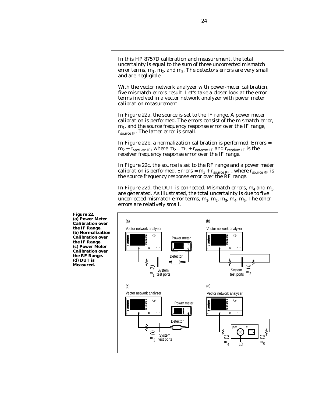In this HP 8757D calibration and measurement, the total uncertainty is equal to the sum of three uncorrected mismatch error terms,  $m_1$ ,  $m_2$ , and  $m_3$ . The detectors errors are very small and are negligible.

With the vector network analyzer with power-meter calibration, five mismatch errors result. Let's take a closer look at the error terms involved in a vector network analyzer with power meter calibration measurement.

In Figure 22a, the source is set to the IF range. A power meter calibration is performed. The errors consist of the mismatch error,  $m_1$ , and the source frequency response error over the IF range,  $r_{\text{source IF}}$ . The latter error is small.

In Figure 22b, a normalization calibration is performed. Errors =  $m_2$  +  $r_{receiver IF}$ , where  $m_2 = m_1 + r_{detector IF}$  and  $r_{receiver IF}$  is the receiver frequency response error over the IF range.

In Figure 22c, the source is set to the RF range and a power meter calibration is performed. Errors =  $m_3 + r_{source}$  RF, where  $r_{source}$  RF is the source frequency response error over the RF range.

In Figure 22d, the DUT is connected. Mismatch errors,  $m_4$  and  $m_5$ , are generated. As illustrated, the total uncertainty is due to five uncorrected mismatch error terms,  $m_1$ ,  $m_2$ ,  $m_3$ ,  $m_4$ ,  $m_5$ . The other errors are relatively small.



**Figure 22. (a) Power Meter Calibration over the IF Range. (b) Normalization Calibration over the IF Range. (c) Power Meter Calibration over the RF Range. (d) DUT is Measured.**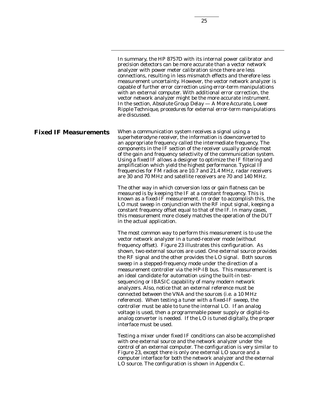In summary, the HP 8757D with its internal power calibrator and precision detectors can be more accurate than a vector network analyzer with power meter calibration since there are less connections, resulting in less mismatch effects and therefore less measurement uncertainty. However, the vector network analyzer is capable of further error correction using error-term manipulations with an external computer. With additional error correction, the vector network analyzer might be the more accurate instrument. In the section, *Absolute Group Delay — A More Accurate, Lower Ripple Technique*, procedures for external error-term manipulations are discussed.

When a communication system receives a signal using a superheterodyne receiver, the information is downconverted to an appropriate frequency called the intermediate frequency. The components in the IF section of the receiver usually provide most of the gain and frequency selectivity of the communication system. Using a fixed IF allows a designer to optimize the IF filtering and amplification which yield the highest performance. Typical IF frequencies for FM radios are 10.7 and 21.4 MHz, radar receivers are 30 and 70 MHz and satellite receivers are 70 and 140 MHz. **Fixed IF Measurements**

> The other way in which conversion loss or gain flatness can be measured is by keeping the IF at a constant frequency. This is known as a fixed-IF measurement. In order to accomplish this, the LO must sweep in conjunction with the RF input signal, keeping a constant frequency offset equal to that of the IF. In many cases, this measurement more closely matches the operation of the DUT in the actual application.

The most common way to perform this measurement is to use the vector network analyzer in a tuned-receiver mode (without frequency offset). Figure 23 illustrates this configuration. As shown, two external sources are used. One external source provides the RF signal and the other provides the LO signal. Both sources sweep in a stepped-frequency mode under the direction of a measurement controller via the HP-IB bus. This measurement is an ideal candidate for automation using the built-in testsequencing or IBASIC capability of many modern network analyzers. Also, notice that an external reference must be connected between the VNA and the sources (i.e. a 10 MHz reference). When testing a tuner with a fixed-IF sweep, the controller must be able to tune the internal LO. If an analog voltage is used, then a programmable power supply or digital-toanalog converter is needed. If the LO is tuned digitally, the proper interface must be used.

Testing a mixer under fixed IF conditions can also be accomplished with one external source and the network analyzer under the control of an external computer. The configuration is very similar to Figure 23, except there is only one external LO source and a computer interface for both the network analyzer and the external LO source. The configuration is shown in Appendix C.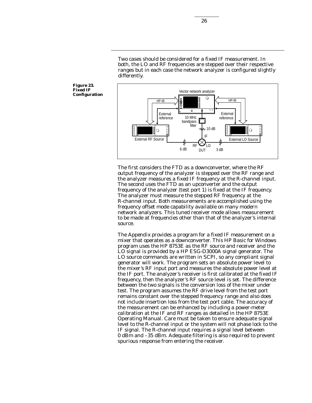Two cases should be considered for a fixed IF measurement. In both, the LO and RF frequencies are stepped over their respective ranges but in each case the network analyzer is configured slightly differently.



The first considers the FTD as a downconverter, where the RF output frequency of the analyzer is stepped over the RF range and the analyzer measures a fixed IF frequency at the R-channel input. The second uses the FTD as an upconverter and the output frequency of the analyzer (test port 1) is fixed at the IF frequency. The analyzer must measure the stepped RF frequency at the R-channel input. Both measurements are accomplished using the frequency offset mode capability available on many modern network analyzers. This tuned receiver mode allows measurement to be made at frequencies other than that of the analyzer's internal source.

The *Appendix* provides a program for a fixed IF measurement on a mixer that operates as a downconverter. This HP Basic for Windows program uses the HP 8753E as the RF source and receiver and the LO signal is provided by a HP ESG-D3000A signal generator. The LO source commands are written in SCPI, so any compliant signal generator will work. The program sets an absolute power level to the mixer's RF input port and measures the absolute power level at the IF port. The analyzer's receiver is first calibrated at the fixed IF frequency, then the analyzer's RF source level is set. The difference between the two signals is the conversion loss of the mixer under test. The program assumes the RF drive level from the test port remains constant over the stepped frequency range and also does not include insertion loss from the test port cable. The accuracy of the measurement can be enhanced by including a power-meter calibration at the IF and RF ranges as detailed in the HP 8753E Operating Manual. Care must be taken to ensure adequate signal level to the R-channel input or the system will not phase lock to the IF signal. The R-channel input requires a signal level between 0 dBm and –35 dBm. Adequate filtering is also required to prevent spurious response from entering the receiver.

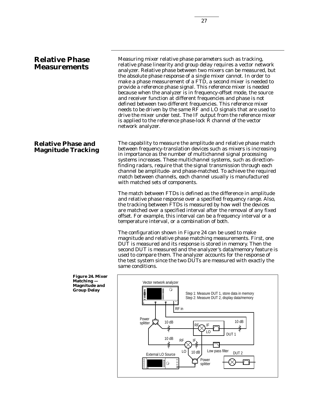# **Relative Phase Measurements**

# **Relative Phase and Magnitude Tracking**

Measuring mixer relative phase parameters such as tracking, relative phase linearity and group delay requires a vector network analyzer. Relative phase between two mixers can be measured, but the absolute phase response of a single mixer cannot. In order to make a phase measurement of a FTD, a second mixer is needed to provide a reference phase signal. This reference mixer is needed because when the analyzer is in frequency-offset mode, the source and receiver function at different frequencies and phase is not defined between two different frequencies. This reference mixer needs to be driven by the same RF and LO signals that are used to drive the mixer under test. The IF output from the reference mixer is applied to the reference phase-lock R channel of the vector network analyzer.

The capability to measure the amplitude and relative phase match between frequency-translation devices such as mixers is increasing in importance as the number of multichannel signal processing systems increases. These multichannel systems, such as directionfinding radars, require that the signal transmission through each channel be amplitude- and phase-matched. To achieve the required match between channels, each channel usually is manufactured with matched sets of components.

The match between FTDs is defined as the difference in amplitude and relative phase response over a specified frequency range. Also, the tracking between FTDs is measured by how well the devices are matched over a specified interval after the removal of any fixed offset. For example, this interval can be a frequency interval or a temperature interval, or a combination of both.

The configuration shown in Figure 24 can be used to make magnitude and relative phase matching measurements. First, one DUT is measured and its response is stored in memory. Then the second DUT is measured and the analyzer's data/memory feature is used to compare them. The analyzer accounts for the response of the test system since the two DUTs are measured with exactly the same conditions.



**Figure 24. Mixer Matching — Magnitude and Group Delay**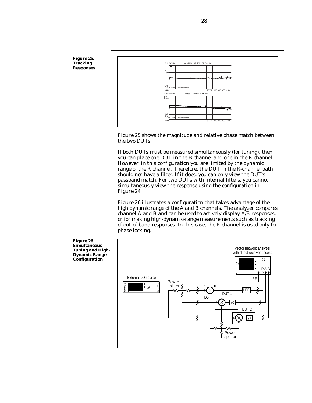

Figure 25 shows the magnitude and relative phase match between the two DUTs.

If both DUTs must be measured simultaneously (for tuning), then you can place one DUT in the B channel and one in the R channel. However, in this configuration you are limited by the dynamic range of the R channel. Therefore, the DUT in the R-channel path should not have a filter. If it does, you can only view the DUT's passband match. For two DUTs with internal filters, you cannot simultaneously view the response using the configuration in Figure 24.

Figure 26 illustrates a configuration that takes advantage of the high dynamic range of the A and B channels. The analyzer compares channel A and B and can be used to actively display A/B responses, or for making high-dynamic-range measurements such as tracking of out-of-band responses. In this case, the R channel is used only for phase locking.



**Figure 26. Simultaneous Tuning and High-Dynamic Range Configuration**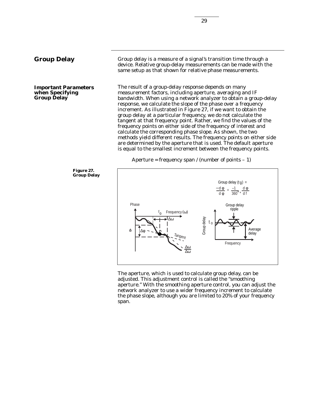**Important Parameters when Specifying Group Delay**

Group delay is a measure of a signal's transition time through a device. Relative group-delay measurements can be made with the same setup as that shown for relative phase measurements.

The result of a group-delay response depends on many measurement factors, including aperture, averaging and IF bandwidth. When using a network analyzer to obtain a group-delay response, we calculate the slope of the phase over a frequency increment. As illustrated in Figure 27, if we want to obtain the group delay at a particular frequency, we do not calculate the tangent at that frequency point. Rather, we find the values of the frequency points on either side of the frequency of interest and calculate the corresponding phase slope. As shown, the two methods yield different results. The frequency points on either side are determined by the aperture that is used. The default aperture is equal to the smallest increment between the frequency points.

Aperture = frequency span / (number of points  $-1$ )





The aperture, which is used to calculate group delay, can be adjusted. This adjustment control is called the "smoothing aperture." With the smoothing aperture control, you can adjust the network analyzer to use a wider frequency increment to calculate the phase slope, although you are limited to 20% of your frequency span.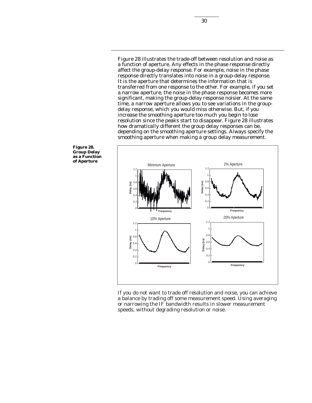Figure 28 illustrates the trade-off between resolution and noise as a function of aperture. Any effects in the phase response directly affect the group-delay response. For example, noise in the phase response directly translates into noise in a group-delay response. It is the aperture that determines the information that is transferred from one response to the other. For example, if you set a narrow aperture, the noise in the phase response becomes more significant, making the group-delay response noisier. At the same time, a narrow aperture allows you to see variations in the groupdelay response, which you would miss otherwise. But, if you increase the smoothing aperture too much you begin to lose resolution since the peaks start to disappear. Figure 28 illustrates how dramatically different the group delay responses can be, depending on the smoothing aperture settings. Always specify the smoothing aperture when making a group delay measurement.



If you do not want to trade off resolution and noise, you can achieve a balance by trading off some measurement speed. Using averaging or narrowing the IF bandwidth results in slower measurement speeds, without degrading resolution or noise.

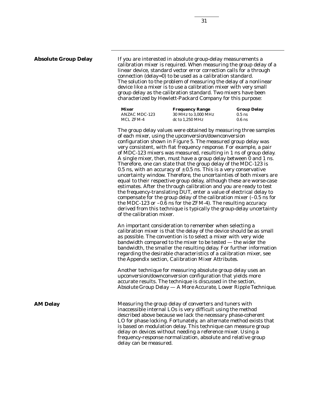## **Absolute Group Delay**

If you are interested in absolute group-delay measurements a calibration mixer is required. When measuring the group delay of a linear device, standard vector error correction calls for a through connection (delay=0) to be used as a calibration standard. The solution to the problem of measuring the delay of a nonlinear device like a mixer is to use a calibration mixer with very small group delay as the calibration standard. Two mixers have been characterized by Hewlett-Packard Company for this purpose:

| Mixer         | <b>Frequency Range</b> | <b>Group Delay</b> |
|---------------|------------------------|--------------------|
| ANZAC MDC-123 | 30 MHz to 3.000 MHz    | $0.5$ ns           |
| MCL ZFM-4     | dc to 1.250 MHz        | $0.6$ ns           |

The group delay values were obtained by measuring three samples of each mixer, using the upconversion/downconversion configuration shown in Figure 5. The measured group delay was very consistent, with flat frequency response. For example, a pair of MDC-123 mixers was measured, resulting in 1 ns of group delay. A single mixer, then, must have a group delay between 0 and 1 ns. Therefore, one can state that the group delay of the MDC-123 is 0.5 ns, with an accuracy of  $\pm$  0.5 ns. This is a very conservative uncertainty window. Therefore, the uncertainties of both mixers are equal to their respective group delay, although these are worse-case estimates. After the through calibration and you are ready to test the frequency-translating DUT, enter a value of electrical delay to compensate for the group delay of the calibration mixer (–0.5 ns for the MDC-123 or –0.6 ns for the ZFM-4). The resulting accuracy derived from this technique is typically the group-delay uncertainty of the calibration mixer.

An important consideration to remember when selecting a calibration mixer is that the delay of the device should be as small as possible. The convention is to select a mixer with very wide bandwidth compared to the mixer to be tested — the wider the bandwidth, the smaller the resulting delay. For further information regarding the desirable characteristics of a calibration mixer, see the Appendix section, *Calibration Mixer Attributes*.

Another technique for measuring absolute group delay uses an upconversion/downconversion configuration that yields more accurate results. The technique is discussed in the section, *Absolute Group Delay — A More Accurate, Lower Ripple Technique.*

Measuring the group delay of converters and tuners with inaccessible internal LOs is very difficult using the method described above because we lack the necessary phase-coherent LO for phase locking. Fortunately, an alternate method exists that is based on modulation delay. This technique can measure group delay on devices without needing a reference mixer. Using a frequency-response normalization, absolute and relative group delay can be measured.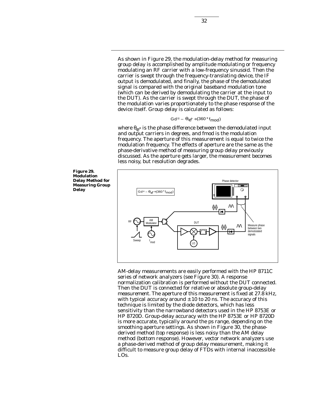As shown in Figure 29, the modulation-delay method for measuring group delay is accomplished by amplitude modulating or frequency modulating an RF carrier with a low-frequency sinusoid. Then the carrier is swept through the frequency-translating device, the IF output is demodulated, and finally, the phase of the demodulated signal is compared with the original baseband modulation tone (which can be derived by demodulating the carrier at the input to the DUT). As the carrier is swept through the DUT, the phase of the modulation varies proportionately to the phase response of the device itself. Group delay is calculated as follows:

$$
Gd = -\Theta e^{\circ} \div (360 \cdot f_{mod})
$$

where  $\theta_{e}$ ° is the phase difference between the demodulated input and output carriers in degrees, and fmod is the modulation frequency. The aperture of this measurement is equal to twice the modulation frequency. The effects of aperture are the same as the phase-derivative method of measuring group delay previously discussed. As the aperture gets larger, the measurement becomes less noisy, but resolution degrades.



AM-delay measurements are easily performed with the HP 8711C series of network analyzers (see Figure 30). A response normalization calibration is performed without the DUT connected. Then the DUT is connected for relative or absolute group-delay measurement. The aperture of this measurement is fixed at 27.8 kHz, with typical accuracy around  $\pm$  10 to 20 ns. The accuracy of this technique is limited by the diode detectors, which has less sensitivity than the narrowband detectors used in the HP 8753E or HP 8720D. Group-delay accuracy with the HP 8753E or HP 8720D is more accurate, typically around the ps range, depending on the smoothing aperture settings. As shown in Figure 30, the phasederived method (top response) is less noisy than the AM delay method (bottom response). However, vector network analyzers use a phase-derived method of group delay measurement, making it difficult to measure group delay of FTDs with internal inaccessible LOs.

**Figure 29. Modulation Delay Method for Measuring Group Delay**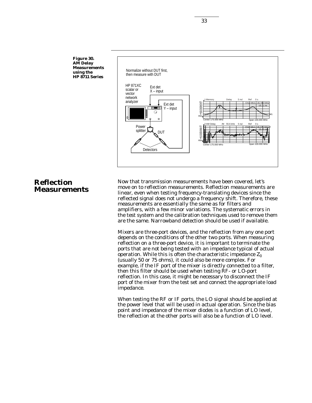**Figure 30. AM Delay Measurements using the HP 8711 Series**



# **Reflection Measurements**

Now that transmission measurements have been covered, let's move on to reflection measurements. Reflection measurements are linear, even when testing frequency-translating devices since the reflected signal does not undergo a frequency shift. Therefore, these measurements are essentially the same as for filters and amplifiers, with a few minor variations. The systematic errors in the test system and the calibration techniques used to remove them are the same. Narrowband detection should be used if available.

Mixers are three-port devices, and the reflection from any one port depends on the conditions of the other two ports. When measuring reflection on a three-port device, it is important to terminate the ports that are not being tested with an impedance typical of actual operation. While this is often the characteristic impedance  $Z_0$ (usually 50 or 75 ohms), it could also be more complex. For example, if the IF port of the mixer is directly connected to a filter, then this filter should be used when testing RF- or LO-port reflection. In this case, it might be necessary to disconnect the IF port of the mixer from the test set and connect the appropriate load impedance.

When testing the RF or IF ports, the LO signal should be applied at the power level that will be used in actual operation. Since the bias point and impedance of the mixer diodes is a function of LO level, the reflection at the other ports will also be a function of LO level.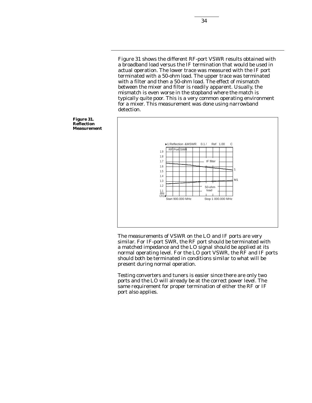Figure 31 shows the different RF-port VSWR results obtained with a broadband load versus the IF termination that would be used in actual operation. The lower trace was measured with the IF port terminated with a 50-ohm load. The upper trace was terminated with a filter and then a 50-ohm load. The effect of mismatch between the mixer and filter is readily apparent. Usually, the mismatch is even worse in the stopband where the match is typically quite poor. This is a very common operating environment for a mixer. This measurement was done using narrowband detection.



The measurements of VSWR on the LO and IF ports are very similar. For IF-port SWR, the RF port should be terminated with a matched impedance and the LO signal should be applied at its normal operating level. For the LO port VSWR, the RF and IF ports should both be terminated in conditions similar to what will be present during normal operation.

Testing converters and tuners is easier since there are only two ports and the LO will already be at the correct power level. The same requirement for proper termination of either the RF or IF port also applies.

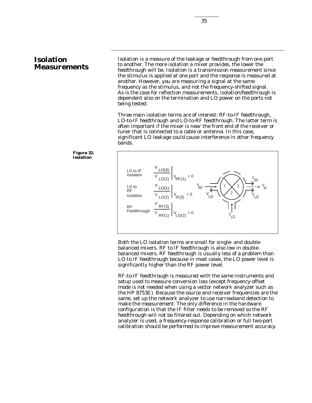# **Isolation Measurements**

Isolation is a measure of the leakage or feedthrough from one port to another. The more isolation a mixer provides, the lower the feedthrough will be. Isolation is a transmission measurement since the stimulus is applied at one port and the response is measured at another. However, you are measuring a signal at the same frequency as the stimulus, and not the frequency-shifted signal. As is the case for reflection measurements, isolation/feedthrough is dependent also on the termination and LO power on the ports not being tested.

Three main isolation terms are of interest: RF-to-IF feedthrough, LO-to-IF feedthrough and LO-to-RF feedthrough. The latter term is often important if the mixer is near the front end of the receiver or tuner that is connected to a cable or antenna. In this case, significant LO leakage could cause interference in other frequency bands.





Both the LO isolation terms are small for single- and doublebalanced mixers. RF to IF feedthrough is also low in doublebalanced mixers. RF feedthrough is usually less of a problem than LO to IF feedthrough because in most cases, the LO power level is significantly higher than the RF power level.

RF-to-IF feedthrough is measured with the same instruments and setup used to measure conversion loss (except frequency-offset mode is not needed when using a vector network analyzer such as the HP 8753E). Because the source and receiver frequencies are the same, set up the network analyzer to use narrowband detection to make the measurement. The only difference in the hardware configuration is that the IF filter needs to be removed so the RF feedthrough will not be filtered out. Depending on which network analyzer is used, a frequency-response calibration or full two-port calibration should be performed to improve measurement accuracy.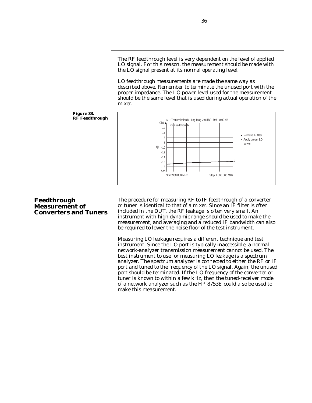The RF feedthrough level is very dependent on the level of applied LO signal. For this reason, the measurement should be made with the LO signal present at its normal operating level.

LO feedthrough measurements are made the same way as described above. Remember to terminate the unused port with the proper impedance. The LO power level used for the measurement should be the same level that is used during actual operation of the mixer.



#### **Figure 33. RF Feedthrough**

# **Feedthrough Measurement of Converters and Tuners**

The procedure for measuring RF to IF feedthrough of a converter or tuner is identical to that of a mixer. Since an IF filter is often included in the DUT, the RF leakage is often very small. An instrument with high dynamic range should be used to make the measurement, and averaging and a reduced IF bandwidth can also be required to lower the noise floor of the test instrument.

Measuring LO leakage requires a different technique and test instrument. Since the LO port is typically inaccessible, a normal network-analyzer transmission measurement cannot be used. The best instrument to use for measuring LO leakage is a spectrum analyzer. The spectrum analyzer is connected to either the RF or IF port and tuned to the frequency of the LO signal. Again, the unused port should be terminated. If the LO frequency of the converter or tuner is known to within a few kHz, then the tuned-receiver mode of a network analyzer such as the HP 8753E could also be used to make this measurement.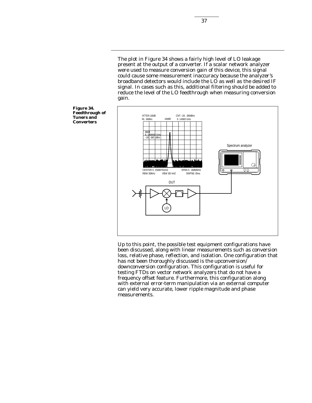The plot in Figure 34 shows a fairly high level of LO leakage present at the output of a converter. If a scalar network analyzer were used to measure conversion gain of this device, this signal could cause some measurement inaccuracy because the analyzer's broadband detectors would include the  $L\ddot{o}$  as well as the desired IF signal. In cases such as this, additional filtering should be added to reduce the level of the LO feedthrough when measuring conversion gain.



Up to this point, the possible test equipment configurations have been discussed, along with linear measurements such as conversion loss, relative phase, reflection, and isolation. One configuration that has not been thoroughly discussed is the upconversion downconversion configuration. This configuration is useful for testing FTDs on vector network analyzers that do not have a frequency offset feature. Furthermore, this configuration along with external error-term manipulation via an external computer can yield very accurate, lower ripple magnitude and phase measurements.

**Figure 34. Feedthrough of Tuners and Converters**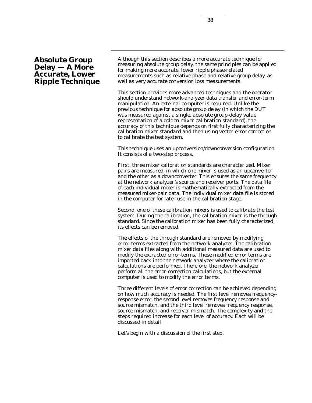# **Absolute Group Delay — A More Accurate, Lower Ripple Technique**

Although this section describes a more accurate technique for measuring absolute group delay, the same principles can be applied for making more accurate, lower ripple phase-related measurements such as relative phase and relative group delay, as well as very accurate conversion loss measurements.

This section provides more advanced techniques and the operator should understand network-analyzer data transfer and error-term manipulation. An external computer is required. Unlike the previous technique for absolute group delay (in which the DUT was measured against a single, absolute group-delay value representation of a golden mixer calibration standard), the accuracy of this technique depends on first fully characterizing the calibration mixer standard and then using vector error correction to calibrate the test system.

This technique uses an upconversion/downconversion configuration. It consists of a two-step process.

First, three mixer calibration standards are characterized. Mixer pairs are measured, in which one mixer is used as an upconverter and the other as a downconverter. This ensures the same frequency at the network analyzer's source and receiver ports. The data file of each individual mixer is mathematically extracted from the measured mixer-pair data. The individual mixer data file is stored in the computer for later use in the calibration stage.

Second, one of these calibration mixers is used to calibrate the test system. During the calibration, the calibration mixer is the through standard. Since the calibration mixer has been fully characterized, its effects can be removed.

The effects of the through standard are removed by modifying error-terms extracted from the network analyzer. The calibration mixer data files along with additional measured data are used to modify the extracted error-terms. These modified error terms are imported back into the network analyzer where the calibration calculations are performed. Therefore, the network analyzer perform all the error-correction calculations, but the external computer is used to modify the error terms.

Three different levels of error correction can be achieved depending on how much accuracy is needed. The first level removes frequencyresponse error, the second level removes frequency response and source mismatch, and the third level removes frequency response, source mismatch, and receiver mismatch. The complexity and the steps required increase for each level of accuracy. Each will be discussed in detail.

Let's begin with a discussion of the first step.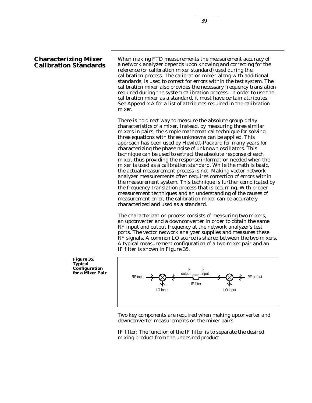# **Characterizing Mixer Calibration Standards**

When making FTD measurements the measurement accuracy of a network analyzer depends upon knowing and correcting for the reference (or calibration mixer standard) used during the calibration process. The calibration mixer, along with additional standards, is used to correct for errors within the test system. The calibration mixer also provides the necessary frequency translation required during the system calibration process. In order to use the calibration mixer as a standard, it must have certain attributes. See *Appendix A* for a list of attributes required in the calibration mixer.

There is no direct way to measure the absolute group-delay characteristics of a mixer. Instead, by measuring three similar mixers in pairs, the simple mathematical technique for solving three equations with three unknowns can be applied. This approach has been used by Hewlett-Packard for many years for characterizing the phase noise of unknown oscillators. This technique can be used to extract the absolute response of each mixer, thus providing the response information needed when the mixer is used as a calibration standard. While the math is basic, the actual measurement process is not. Making vector network analyzer measurements often requires correction of errors within the measurement system. This technique is further complicated by the frequency-translation process that is occurring. With proper measurement techniques and an understanding of the causes of measurement error, the calibration mixer can be accurately characterized and used as a standard.

The characterization process consists of measuring two mixers, an upconverter and a downconverter in order to obtain the same RF input and output frequency at the network analyzer's test ports. The vector network analyzer supplies and measures these RF signals. A common LO source is shared between the two mixers. A typical measurement configuration of a two-mixer pair and an IF filter is shown in Figure 35.

**Figure 35. Typical Configuration for a Mixer Pair**



Two key components are required when making upconverter and downconverter measurements on the mixer pairs:

*IF filter*: The function of the IF filter is to separate the desired mixing product from the undesired product.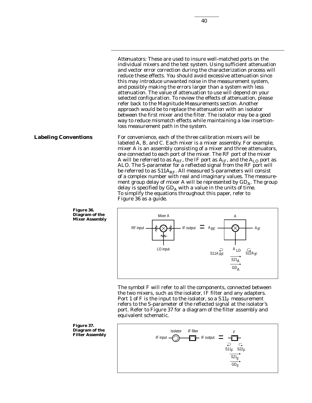*Attenuators*: These are used to insure well-matched ports on the individual mixers and the test system. Using sufficient attenuation and vector error correction during the characterization process will reduce these effects. You should avoid excessive attenuation since this may introduce unwanted noise in the measurement system, and possibly making the errors larger than a system with less attenuation. The value of attenuation to use will depend on your selected configuration. To review the effects of attenuation, please refer back to the *Magnitude Measurements* section. Another approach would be to replace the attenuation with an isolator between the first mixer and the filter. The isolator may be a good way to reduce mismatch effects while maintaining a low insertionloss measurement path in the system.

For convenience, each of the three calibration mixers will be labeled A, B, and C. Each mixer is a mixer assembly. For example, mixer A is an assembly consisting of a mixer and three attenuators, one connected to each port of the mixer. The RF port of the mixer A will be referred to as  $A_{RF}$ , the IF port as  $A_{IF}$ , and the  $A_{LO}$  port as ALO. The S-parameter for a reflected signal from the RF port will be referred to as  $S11A_{RF}$ . All measured S-parameters will consist of a complex number with real and imaginary values. The measurement group delay of mixer A will be represented by  $GD_A$ . The group delay is specified by  $GD_A$  with a value in the units of time. To simplify the equations throughout this paper, refer to Figure 36 as a guide.



The symbol F will refer to all the components, connected between the two mixers, such as the isolator, IF filter and any adapters. Port 1 of F is the input to the isolator, so a  $S11<sub>F</sub>$  measurement refers to the S-parameter of the reflected signal at the isolator's port. Refer to Figure 37 for a diagram of the filter assembly and equivalent schematic.

**Figure 37. Diagram of the Filter Assembly**



**Figure 36. Diagram of the Mixer Assembly**

**Labeling Conventions**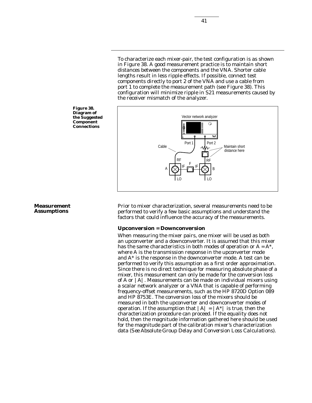To characterize each mixer-pair, the test configuration is as shown in Figure 38. A good measurement practice is to maintain short distances between the components and the VNA. Shorter cable lengths result in less ripple effects. If possible, connect test components directly to port 2 of the VNA and use a cable from port 1 to complete the measurement path (see Figure 38). This configuration will minimize ripple in S21 measurements caused by the receiver mismatch of the analyzer.



Prior to mixer characterization, several measurements need to be performed to verify a few basic assumptions and understand the factors that could influence the accuracy of the measurements.

#### **Upconversion = Downconversion**

When measuring the mixer pairs, one mixer will be used as both an upconverter and a downconverter. It is assumed that this mixer has the same characteristics in both modes of operation or *A* = *A\**, where *A* is the transmission response in the upconverter mode and *A\** is the response in the downconverter mode. A test can be performed to verify this assumption as a first order approximation. Since there is no direct technique for measuring absolute phase of a mixer, this measurement can only be made for the conversion loss of *A* or |*A|.* Measurements can be made on individual mixers using a scalar network analyzer or a VNA that is capable of performing frequency-offset measurements, such as the HP 8720D Option 089 and HP 8753E. The conversion loss of the mixers should be measured in both the upconverter and downconverter modes of operation. If the assumption that  $|A| = |A^*|$  is true, then the characterization procedure can proceed. If the equality does not hold, then the magnitude information gathered here should be used for the magnitude part of the calibration mixer's characterization data *(See Absolute Group Delay and Conversion Loss Calculations)*.



# **Measurement Assumptions**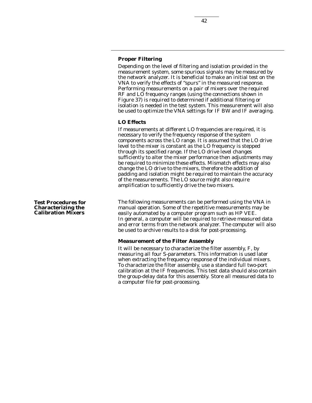# **Proper Filtering**

Depending on the level of filtering and isolation provided in the measurement system, some spurious signals may be measured by the network analyzer. It is beneficial to make an initial test on the VNA to verify the effects of "spurs" in the measured response. Performing measurements on a pair of mixers over the required RF and LO frequency ranges (using the connections shown in Figure 37) is required to determined if additional filtering or isolation is needed in the test system. This measurement will also be used to optimize the VNA settings for IF BW and IF averaging.

#### **LO Effects**

If measurements at different LO frequencies are required, it is necessary to verify the frequency response of the system components across the LO range. It is assumed that the LO drive level to the mixer is constant as the LO frequency is stepped through its specified range. If the LO drive level changes sufficiently to alter the mixer performance then adjustments may be required to minimize these effects. Mismatch effects may also change the LO drive to the mixers, therefore the addition of padding and isolation might be required to maintain the accuracy of the measurements. The LO source might also require amplification to sufficiently drive the two mixers.

The following measurements can be performed using the VNA in manual operation. Some of the repetitive measurements may be easily automated by a computer program such as HP VEE. In general, a computer will be required to retrieve measured data and error terms from the network analyzer. The computer will also be used to archive results to a disk for post-processing.

#### **Measurement of the Filter Assembly**

It will be necessary to characterize the filter assembly, *F*, by measuring all four S-parameters. This information is used later when extracting the frequency response of the individual mixers. To characterize the filter assembly, use a standard full two-port calibration at the IF frequencies. This test data should also contain the group-delay data for this assembly. Store all measured data to a computer file for post-processing.

**Test Procedures for Characterizing the Calibration Mixers**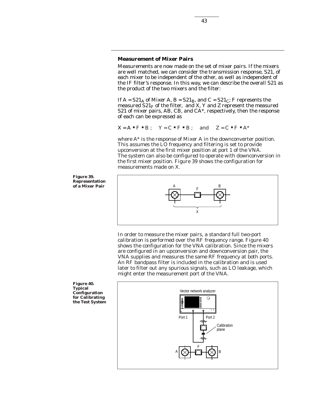# **Measurement of Mixer Pairs**

Measurements are now made on the set of mixer pairs. If the mixers are well matched, we can consider the transmission response, S21, of each mixer to be independent of the other, as well as independent of the IF filter's response. In this way, we can describe the overall S21 as the product of the two mixers and the filter:

43

If  $A = S21_A$  of Mixer A,  $B = S21_B$ , and  $C = S21_C$ ; F represents the measured  $S21<sub>F</sub>$  of the filter, and X, Y and Z represent the measured S21 of mixer pairs, AB, CB, and CA*\**, respectively, then the response of each can be expressed as

$$
X = A \cdot F \cdot B
$$
;  $Y = C \cdot F \cdot B$ ; and  $Z = C \cdot F \cdot A^*$ 

where *A*\* is the response of Mixer A in the downconverter position. This assumes the LO frequency and filtering is set to provide upconversion at the first mixer position at port 1 of the VNA. The system can also be configured to operate with downconversion in the first mixer position. Figure 39 shows the configuration for measurements made on X.

**Figure 39. Representation** of a Mixer Pair



In order to measure the mixer pairs, a standard full two-port calibration is performed over the RF frequency range. Figure 40 shows the configuration for the VNA calibration. Since the mixers are configured in an upconversion and downconversion pair, the VNA supplies and measures the same RF frequency at both ports. An RF bandpass filter is included in the calibration and is used later to filter out any spurious signals, such as LO leakage, which might enter the measurement port of the VNA.

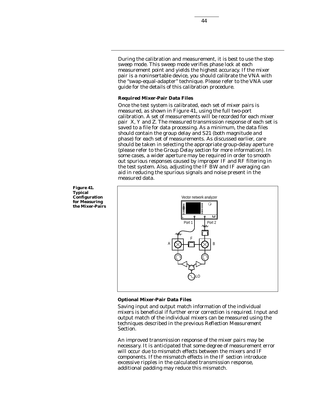During the calibration and measurement, it is best to use the step sweep mode. This sweep mode verifies phase lock at each measurement point and yields the highest accuracy. If the mixer pair is a noninsertable device, you should calibrate the VNA with the "swap-equal-adapter" technique. Please refer to the VNA user guide for the details of this calibration procedure.

#### **Required Mixer-Pair Data Files**

Once the test system is calibrated, each set of mixer pairs is measured, as shown in Figure 41, using the full two-port calibration. A set of measurements will be recorded for each mixer pair X, Y and Z. The measured transmission response of each set is saved to a file for data processing. As a minimum, the data files should contain the group delay and S21 (both magnitude and phase) for each set of measurements. As discussed earlier, care should be taken in selecting the appropriate group-delay aperture (please refer to the *Group Delay* section for more information). In some cases, a wider aperture may be required in order to smooth out spurious responses caused by improper IF and RF filtering in the test system. Also, adjusting the IF BW and IF averaging can aid in reducing the spurious signals and noise present in the measured data.



## **Optional Mixer-Pair Data Files**

Saving input and output match information of the individual mixers is beneficial if further error correction is required. Input and output match of the individual mixers can be measured using the techniques described in the previous *Reflection Measurement* Section.

An improved transmission response of the mixer pairs may be necessary. It is anticipated that some degree of measurement error will occur due to mismatch effects between the mixers and IF components. If the mismatch effects in the IF section introduce excessive ripples in the calculated transmission response, additional padding may reduce this mismatch.

**Figure 41. Typical Configuration for Measuring the Mixer-Pairs**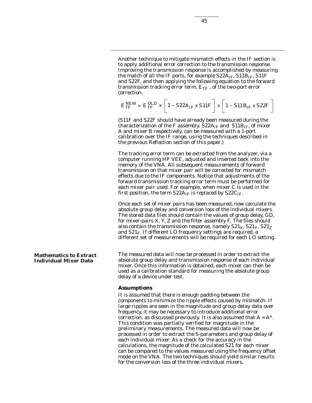Another technique to mitigate mismatch effects in the IF section is to apply additional error correction to the transmission response. Improving the transmission response is accomplished by measuring the match of all the IF ports, for example  $S22A_{IF}$ ,  $S11B_{IF}$ ,  $S11F$ and S22F, and then applying the following equation to the forward transmission tracking error term,  $E_{TF}$ , of the two-port error correction.

$$
E_{TF}^{NEW} = E_{TF}^{OLD} \times \left[1 - S22A_{IF} \times S11F\right] \times \left[1 - S11B_{IF} \times S22F\right]
$$

(S11F and S22F should have already been measured during the characterization of the F assembly.  $S22A_{IF}$  and  $S11B_{IF}$ , of mixer A and mixer B respectively, can be measured with a 1-port calibration over the IF range, using the techniques described in the previous *Reflection* section of this paper.)

The tracking error term can be extracted from the analyzer, via a computer running HP VEE, adjusted and inserted back into the memory of the VNA. All subsequent measurements of forward transmission on that mixer pair will be corrected for mismatch effects due to the IF components. Notice that adjustments of the forward transmission tracking error term must be performed for each mixer pair used. For example, when mixer C is used in the first position, the term  $S22A_{IF}$  is replaced by  $S22C_{IF}$ .

Once each set of mixer pairs has been measured, now calculate the absolute group delay and conversion loss of the individual mixers. The stored data files should contain the values of group delay, GD, for mixer-pairs X, Y, Z and the filter assembly F. The files should also contain the transmission response, namely  $S21_x$ ,  $S21_y$ ,  $S21_z$ and  $S21<sub>F</sub>$ . If different LO frequency settings are required, a different set of measurements will be required for each LO setting.

The measured data will now be processed in order to extract the absolute group delay and transmission response of each individual mixer. Once this information is obtained, each mixer can then be used as a calibration standard for measuring the absolute group delay of a device under test.

#### **Assumptions**

It is assumed that there is enough padding between the components to minimize the ripple effects caused by mismatch. If large ripples are seen in the magnitude and group delay data over frequency, it may be necessary to introduce additional error correction, as discussed previously. It is also assumed that *A* = *A\**. This condition was partially verified for magnitude in the preliminary measurements. The measured data will now be processed in order to extract the S-parameters and group delay of each individual mixer. As a check for the accuracy in the calculations, the magnitude of the calculated S21 for each mixer can be compared to the values measured using the frequency offset mode on the VNA. The two techniques should yield similar results for the conversion loss of the three individual mixers.

**Mathematics to Extract Individual Mixer Data**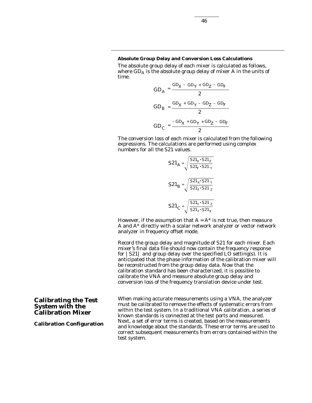## **Absolute Group Delay and Conversion Loss Calculations**

The absolute group delay of each mixer is calculated as follows, where  $GD_A$  is the absolute group delay of mixer A in the units of time.

$$
GD_A = \frac{GD_X - GD_Y + GD_Z - GD_F}{2}
$$
\n
$$
GD_B = \frac{GD_X + GD_Y - GD_Z - GD_F}{2}
$$
\n
$$
GD_C = \frac{-GD_X + GD_Y + GD_Z - GD_F}{2}
$$

The conversion loss of each mixer is calculated from the following expressions. The calculations are performed using complex numbers for all the S21 values.

$$
S21_{A} = \sqrt{\frac{S21_{X} \cdot S21_{Z}}{S21_{F} \cdot S21_{Y}}}
$$

$$
S21_{B} = \sqrt{\frac{S21_{X} \cdot S21_{Y}}{S21_{F} \cdot S21_{Z}}}
$$

$$
S21_{C} = \sqrt{\frac{S21_{Y} \cdot S21_{Z}}{S21_{F} \cdot S21_{X}}}
$$

However, if the assumption that  $A = A^*$  is not true, then measure A and A\* directly with a scalar network analyzer or vector network analyzer in frequency offset mode.

Record the group delay and magnitude of S21 for each mixer. Each mixer's final data file should now contain the frequency response for |S21| and group delay over the specified LO setting(s). It is anticipated that the phase information of the calibration mixer will be reconstructed from the group delay data. Now that the calibration standard has been characterized, it is possible to calibrate the VNA and measure absolute group delay and conversion loss of the frequency translation device under test.

When making accurate measurements using a VNA, the analyzer must be calibrated to remove the effects of systematic errors from within the test system. In a traditional VNA calibration, a series of known standards is connected at the test ports and measured. Next, a set of error terms is created, based on the measurements and knowledge about the standards. These error terms are used to correct subsequent measurements from errors contained within the test system.

**Calibrating the Test System with the Calibration Mixer**

**Calibration Configuration**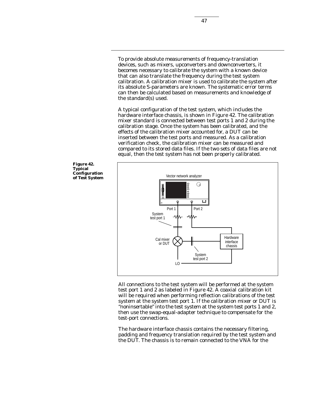To provide absolute measurements of frequency-translation devices, such as mixers, upconverters and downconverters, it becomes necessary to calibrate the system with a known device that can also translate the frequency during the test system calibration. A calibration mixer is used to calibrate the system after its absolute S-parameters are known. The systematic error terms can then be calculated based on measurements and knowledge of the standard(s) used.

A typical configuration of the test system, which includes the hardware interface chassis, is shown in Figure 42. The calibration mixer standard is connected between test ports 1 and 2 during the calibration stage. Once the system has been calibrated, and the effects of the calibration mixer accounted for, a DUT can be inserted between the test ports and measured. As a calibration verification check, the calibration mixer can be measured and compared to its stored data files. If the two sets of data files are not equal, then the test system has not been properly calibrated.



All connections to the test system will be performed at the system test port 1 and 2 as labeled in Figure 42. A coaxial calibration kit will be required when performing reflection calibrations of the test system at the system test port 1. If the calibration mixer or DUT is "noninsertable" into the test system at the system test ports 1 and 2, then use the swap-equal-adapter technique to compensate for the test-port connections.

The hardware interface chassis contains the necessary filtering, padding and frequency translation required by the test system and the DUT. The chassis is to remain connected to the VNA for the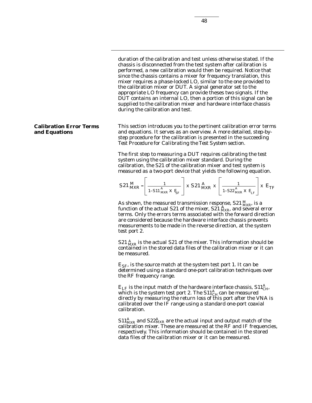duration of the calibration and test unless otherwise stated. If the chassis is disconnected from the test system after calibration is performed, a new calibration would then be required. Notice that since the chassis contains a mixer for frequency translation, this mixer requires a phase-locked LO, similar to the one provided to the calibration mixer or DUT. A signal generator set to the appropriate LO frequency can provide theses two signals. If the DUT contains an internal LO, then a portion of this signal can be supplied to the calibration mixer and hardware interface chassis during the calibration and test.

This section introduces you to the pertinent calibration error terms and equations. It serves as an overview. A more detailed, step-bystep procedure for the calibration is presented in the succeeding *Test Procedure for Calibrating the Test System section.*

The first step to measuring a DUT requires calibrating the test system using the calibration mixer standard. During the calibration, the S21 of the calibration mixer and test system is measured as a two-port device that yields the following equation.

$$
S21 \frac{M}{MXR} = \left[ \frac{1}{1-S11 \frac{A}{MXR} \times E_{SF}} \right] \times S21 \frac{A}{MXR} \times \left[ \frac{1}{1-S22 \frac{A}{MXR} \times E_{LF}} \right] \times E_{TF}
$$

As shown, the measured transmission response, S21 *<sup>M</sup> MXR*, is a function of the actual S21 of the mixer, S21  $^{A}_{MXR}$  and several error terms. Only the errors terms associated with the forward direction are considered because the hardware interface chassis prevents measurements to be made in the reverse direction, at the system test port 2.

 $S21\,^A_{MXR}$  is the actual  $S21$  of the mixer. This information should be contained in the stored data files of the calibration mixer or it can be measured.

 $E_{SF}$ , is the source match at the system test port 1. It can be determined using a standard one-port calibration techniques over the RF frequency range.

 $E_{LF}$  is the input match of the hardware interface chassis,  $\text{S11}^{\text{A}}_{\text{CH}}$ , which is the system test port 2. The  $S11^A_{CH}$  can be measured directly by measuring the return loss of this port after the VNA is calibrated over the IF range using a standard one-port coaxial calibration.

 $\mathrm{S11}_{MXR}^{A}$  and  $\mathrm{S22}_{MXR}^{A}$  are the actual input and output match of the calibration mixer. These are measured at the RF and IF frequencies, respectively. This information should be contained in the stored data files of the calibration mixer or it can be measured.

#### **Calibration Error Terms and Equations**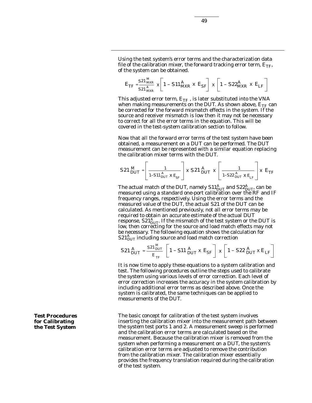Using the test system's error terms and the characterization data file of the calibration mixer, the forward tracking error term,  $E_{TF}$ , of the system can be obtained.

$$
E_{TF} = \frac{S^2 \frac{M}{MXR}}{S^2 \frac{A}{MXR}} \times \left[1 - S^2 \frac{A}{MXR} \times E_{SF}\right] \times \left[1 - S^2 \frac{A}{MXR} \times E_{LF}\right]
$$

This adjusted error term,  $E_{TF}$ , is later substituted into the VNA when making measurements on the DUT. As shown above,  $E_{TF}$  can be corrected for the forward mismatch effects in the system. If the source and receiver mismatch is low then it may not be necessary to correct for all the error terms in the equation. This will be covered in the test-system calibration section to follow.

Now that all the forward error terms of the test system have been obtained, a measurement on a DUT can be performed. The DUT measurement can be represented with a similar equation replacing the calibration mixer terms with the DUT.

$$
S21 \, \frac{M}{DUT} = \left[ \frac{1}{1-S11 \, \frac{A}{DUT} \, \text{X} \, E_{SF}} \right] \times S21 \, \frac{A}{DUT} \, \text{X} \left[ \frac{1}{1-S22 \, \frac{A}{DUT} \, \text{X} \, E_{LF}} \right] \text{X} \, E_{TF}
$$

The actual match of the DUT, namely  $\text{S11}_{DUT}^{A}$  and  $\text{S22}_{DUT}^{A}$  can be measured using a standard one-port calibration over the RF and IF frequency ranges, respectively. Using the error terms and the measured value of the DUT, the actual S21 of the DUT can be calculated. As mentioned previously, not all error terms may be required to obtain an accurate estimate of the actual DUT response, S21*<sup>A</sup> DUT*. If the mismatch of the test system or the DUT is low, then correcting for the source and load match effects may not be necessary. The following equation shows the calculation for  $\mathsf{S21}_{DUT}^A$ including source and load match correction

$$
S21 \frac{A}{DUT} = \frac{S21 \frac{M}{DUT}}{E_{TF}} \left[ 1 - S11 \frac{A}{DUT} \times E_{SF} \right] \times \left[ 1 - S22 \frac{A}{DUT} \times E_{LF} \right]
$$

It is now time to apply these equations to a system calibration and test. The following procedures outline the steps used to calibrate the system using various levels of error correction. Each level of error correction increases the accuracy in the system calibration by including additional error terms as described above. Once the system is calibrated, the same techniques can be applied to measurements of the DUT.

The basic concept for calibration of the test system involves inserting the calibration mixer into the measurement path between the system test ports 1 and 2. A measurement sweep is performed and the calibration error terms are calculated based on the measurement. Because the calibration mixer is removed from the system when performing a measurement on a DUT, the system's calibration error terms are adjusted to remove the contribution from the calibration mixer. The calibration mixer essentially provides the frequency translation required during the calibration of the test system.

**Test Procedures for Calibrating the Test System**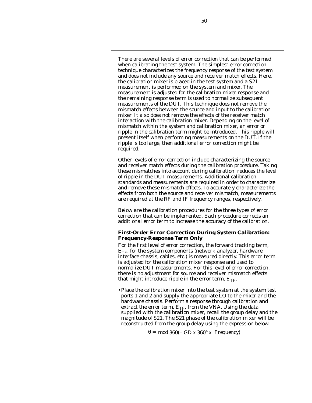There are several levels of error correction that can be performed when calibrating the test system. The simplest error correction technique characterizes the frequency response of the test system and does not include any source and receiver match effects. Here, the calibration mixer is placed in the test system and a S21 measurement is performed on the system and mixer. The measurement is adjusted for the calibration mixer response and the remaining response term is used to normalize subsequent measurements of the DUT. This technique does not remove the mismatch effects between the source and input to the calibration mixer. It also does not remove the effects of the receiver match interaction with the calibration mixer. Depending on the level of mismatch within the system and calibration mixer, an error or ripple in the calibration term might be introduced. This ripple will present itself when performing measurements on the DUT. If the ripple is too large, then additional error correction might be required.

Other levels of error correction include characterizing the source and receiver match effects during the calibration procedure. Taking these mismatches into account during calibration reduces the level of ripple in the DUT measurements. Additional calibration standards and measurements are required in order to characterize and remove these mismatch effects. To accurately characterize the effects from both the source and receiver mismatch, measurements are required at the RF and IF frequency ranges, respectively.

Below are the calibration procedures for the three types of error correction that can be implemented. Each procedure corrects an additional error term to increase the accuracy of the calibration.

# **First-Order Error Correction During System Calibration: Frequency-Response Term Only**

For the first level of error correction, the forward tracking term,  $E_{TF}$ , for the system components (network analyzer, hardware interface chassis, cables, etc.) is measured directly. This error term is adjusted for the calibration mixer response and used to normalize DUT measurements. For this level of error correction, there is no adjustment for source and receiver mismatch effects that might introduce ripple in the error term,  $E_{TF}$ .

•Place the calibration mixer into the test system at the system test ports 1 and 2 and supply the appropriate LO to the mixer and the hardware chassis. Perform a response through calibration and extract the error term,  $E_{TE}$  from the VNA. Using the data supplied with the calibration mixer, recall the group delay and the magnitude of S21. The S21 phase of the calibration mixer will be reconstructed from the group delay using the expression below.

θ = *mod* 360(– *GD* x 360° x *Frequency*)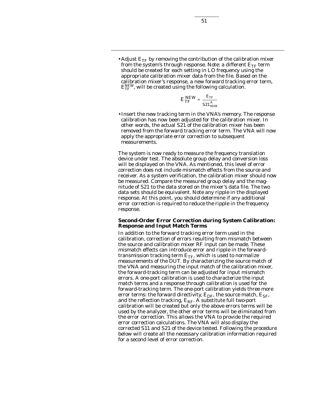• Adjust  $E_{TF}$  by removing the contribution of the calibration mixer from the system's through response. Note: a different  $E_{TF}$  term should be created for each setting in LO frequency using the appropriate calibration mixer data from the file. Based on the calibration mixer's response, a new forward tracking error term,  $\mathrm{E}^{\textit{NEW}}_{\textit{TF}}$ , will be created using the following calculation.

$$
E_{TF}^{NEW} = \frac{E_{TF}}{S21_{MXR}^{A}}
$$

•Insert the new tracking term in the VNA's memory. The response calibration has now been adjusted for the calibration mixer. In other words, the actual S21 of the calibration mixer has been removed from the forward tracking error term. The VNA will now apply the appropriate error correction to subsequent measurements.

The system is now ready to measure the frequency translation device under test. The absolute group delay and conversion loss will be displayed on the VNA. As mentioned, this level of error correction does not include mismatch effects from the source and receiver. As a system verification, the calibration mixer should now be measured. Compare the measured group delay and the magnitude of S21 to the data stored on the mixer's data file. The two data sets should be equivalent. Note any ripple in the displayed response. At this point, you should determine if any additional error correction is required to reduce the ripple in the frequency response.

## **Second-Order Error Correction during System Calibration: Response and Input Match Terms**

In addition to the forward tracking error term used in the calibration, correction of errors resulting from mismatch between the source and calibration mixer RF input can be made. These mismatch effects can introduce error and ripple in the forwardtransmission tracking term  $E_{TF}$ , which is used to normalize measurements of the DUT. By characterizing the source match of the VNA and measuring the input match of the calibration mixer, the forward-tracking term can be adjusted for input mismatch errors. A one-port calibration is used to characterize the input match terms and a response through calibration is used for the forward-tracking term. The one-port calibration yields three more error terms: the forward directivity,  $E_{DE}$ , the source match,  $E_{SE}$ , and the reflection tracking,  $E_{RF}$ . A substitute full two-port calibration will be created but only the above errors terms will be used by the analyzer, the other error terms will be eliminated from the error correction. This allows the VNA to provide the required error correction calculations. The VNA will also display the corrected S11 and S21 of the device tested. Following the procedure below will create all the necessary calibration information required for a second level of error correction.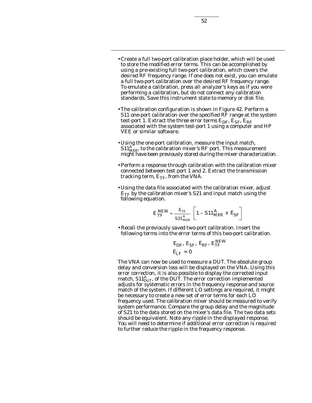- •Create a full two-port calibration place holder, which will be used to store the modified error terms. This can be accomplished by using a pre-existing full two-port calibration, which covers the desired RF frequency range. If one does not exist, you can emulate a full two-port calibration over the desired RF frequency range. To emulate a calibration, press all analyzer's keys as if you were performing a calibration, but do not connect any calibration standards. Save this instrument state to memory or disk file.
- •The calibration configuration is shown in Figure 42. Perform a S11 one-port calibration over the specified RF range at the system test-port 1. Extract the three error terms  $E_{DE}$ ,  $E_{SF}$ ,  $E_{RF}$ associated with the system test-port 1 using a computer and HP VEE or similar software.
- •Using the one-port calibration, measure the input match,  $S11^A_{\text{MXP}}$  to the calibration mixer's RF port. This measurement might have been previously stored during the mixer characterization.
- •Perform a response through calibration with the calibration mixer connected between test port 1 and 2. Extract the transmission tracking term,  $E_{TF}$ , from the VNA.
- •Using the data file associated with the calibration mixer, adjust  $E_{TF}$  by the calibration mixer's S21 and input match using the following equation.

$$
E_{TF}^{NEW} = \frac{E_{TF}}{S21_{MXR}^{A}} \left[ 1 - S11_{MXR}^{A} \times E_{SF} \right]
$$

•Recall the previously saved two-port calibration. Insert the following terms into the error terms of this two-port calibration.

$$
E_{DF'} E_{SF'} E_{RF'} E_{TF}^{NEW}
$$
  

$$
E_{LF} = 0
$$

The VNA can now be used to measure a DUT. The absolute group delay and conversion loss will be displayed on the VNA. Using this error correction, it is also possible to display the corrected input match,  $\text{S11}_{DUP}^A$  of the DUT. The error correction implemented adjusts for systematic errors in the frequency response and source match of the system. If different LO settings are required, it might be necessary to create a new set of error terms for each LO frequency used. The calibration mixer should be measured to verify system performance. Compare the group delay and the magnitude of S21 to the data stored on the mixer's data file. The two data sets should be equivalent. Note any ripple in the displayed response. You will need to determine if additional error correction is required to further reduce the ripple in the frequency response.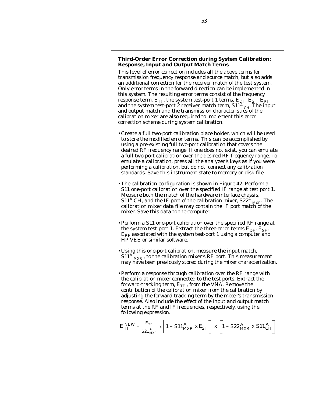## **Third-Order Error Correction during System Calibration: Response, Input and Output Match Terms**

This level of error correction includes all the above terms for transmission frequency response and source match, but also adds an additional correction for the receiver match of the test system. Only error terms in the forward direction can be implemented in this system. The resulting error terms consist of the frequency response term,  $E_{TF}$ , the system test-port 1 terms,  $E_{DF}$ ,  $E_{SF}$ ,  $E_{RF}$ and the system test-port 2 receiver match term, S11<sup>A</sup> CH. The input and output match and the transmission characteristics of the calibration mixer are also required to implement this error correction scheme during system calibration.

- •Create a full two-port calibration place holder, which will be used to store the modified error terms. This can be accomplished by using a pre-existing full two-port calibration that covers the desired RF frequency range. If one does not exist, you can emulate a full two-port calibration over the desired RF frequency range. To emulate a calibration, press all the analyzer's keys as if you were performing a calibration, but do not connect any calibration standards. Save this instrument state to memory or disk file.
- •The calibration configuration is shown in Figure 42. Perform a S11 one-port calibration over the specified IF range at test port 1. Measure both the match of the hardware interface chassis,  $S11^A$  CH, and the IF port of the calibration mixer,  $S22^A$   $_{\text{MXR}}$ . The calibration mixer data file may contain the IF port match of the mixer. Save this data to the computer.
- •Perform a S11 one-port calibration over the specified RF range at the system test-port 1. Extract the three error terms  $E_{DF}$ ,  $E_{SF}$ , *ERF* associated with the system test-port 1 using a computer and HP VEE or similar software.
- •Using this one-port calibration, measure the input match,  $S11^{A}$ <sub>MXR</sub>, to the calibration mixer's RF port. This measurement may have been previously stored during the mixer characterization.
- •Perform a response through calibration over the RF range with the calibration mixer connected to the test ports. Extract the forward-tracking term,  $E_{TF}$ , from the VNA. Remove the contribution of the calibration mixer from the calibration by adjusting the forward-tracking term by the mixer's transmission response. Also include the effect of the input and output match terms at the RF and IF frequencies, respectively, using the following expression.

$$
E_{TF}^{NEW} = \frac{E_{TF}}{S21_{MXR}^{A}} \times \left[1 - S11_{MXR}^{A} \times E_{SF}\right] \times \left[1 - S22_{MXR}^{A} \times S11_{CH}^{A}\right]
$$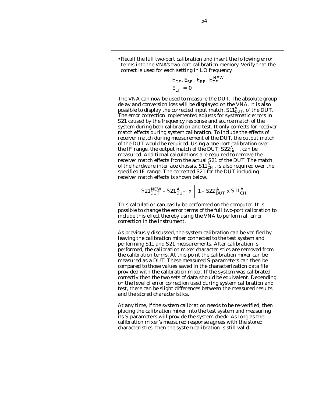•Recall the full two-port calibration and insert the following error terms into the VNA's two-port calibration memory. Verify that the correct is used for each setting in LO frequency.

$$
\begin{aligned} E_{DF}, E_{SF}, \ E_{RF}, \ E_{TF}^{NEW} \\ E_{LF} = 0 \end{aligned}
$$

The VNA can now be used to measure the DUT. The absolute group delay and conversion loss will be displayed on the VNA. It is also possible to display the corrected input match,  $S11_{DUT}^A$ , of the DUT. The error correction implemented adjusts for systematic errors in S21 caused by the frequency response and source match of the system during both calibration and test. It only corrects for receiver match effects during system calibration. To include the effects of receiver match during measurement of the DUT, the output match of the DUT would be required. Using a one-port calibration over the IF range, the output match of the DUT, S22  $^A_{DUT}$ , can be measured. Additional calculations are required to remove the receiver match effects from the actual S21 of the DUT. The match of the hardware interface chassis,  $\mathtt{S11}_{CH}^{A}$ , is also required over the specified IF range. The corrected S21 for the DUT including receiver match effects is shown below.

$$
S21_{DUT}^{NEW} = S21_{DUT}^{A} \times \left[1 - S22_{DUT}^{A} \times S11_{CH}^{A}\right]
$$

This calculation can easily be performed on the computer. It is possible to change the error terms of the full two-port calibration to include this effect thereby using the VNA to perform all error correction in the instrument.

As previously discussed, the system calibration can be verified by leaving the calibration mixer connected to the test system and performing *S11* and *S21* measurements. After calibration is performed, the calibration mixer characteristics are removed from the calibration terms. At this point the calibration mixer can be measured as a DUT. These measured S-parameters can then be compared to those values saved in the characterization data file provided with the calibration mixer. If the system was calibrated correctly then the two sets of data should be equivalent. Depending on the level of error correction used during system calibration and test, there can be slight differences between the measured results and the stored characteristics.

At any time, if the system calibration needs to be re-verified, then placing the calibration mixer into the test system and measuring its S-parameters will provide the system check. As long as the calibration mixer's measured response agrees with the stored characteristics, then the system calibration is still valid.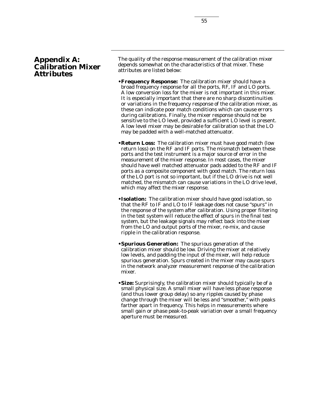The quality of the response measurement of the calibration mixer depends somewhat on the characteristics of that mixer. These attributes are listed below:

- **•Frequency Response:** The calibration mixer should have a broad frequency response for all the ports, RF, IF and LO ports. A low conversion loss for the mixer is not important in this mixer. It is especially important that there are no sharp discontinuities or variations in the frequency response of the calibration mixer, as these can indicate poor match conditions which can cause errors during calibrations. Finally, the mixer response should not be sensitive to the LO level, provided a sufficient LO level is present. A low level mixer may be desirable for calibration so that the LO may be padded with a well-matched attenuator.
- **•Return Loss:** The calibration mixer must have good match (low return loss) on the RF and IF ports. The mismatch between these ports and the test instrument is a major source of error in the measurement of the mixer response. In most cases, the mixer should have well matched attenuator pads added to the RF and IF ports as a composite component with good match. The return loss of the LO port is not so important, but if the LO drive is not well matched, the mismatch can cause variations in the LO drive level, which may affect the mixer response.
- **•Isolation:** The calibration mixer should have good isolation, so that the RF to IF and LO to IF leakage does not cause "spurs" in the response of the system after calibration. Using proper filtering in the test system will reduce the effect of spurs in the final test system, but the leakage signals may reflect back into the mixer from the LO and output ports of the mixer, re-mix, and cause ripple in the calibration response.
- **•Spurious Generation:** The spurious generation of the calibration mixer should be low. Driving the mixer at relatively low levels, and padding the input of the mixer, will help reduce spurious generation. Spurs created in the mixer may cause spurs in the network analyzer measurement response of the calibration mixer.
- **•Size:** Surprisingly, the calibration mixer should typically be of a small physical size. A small mixer will have less phase response (and thus lower group delay) so any ripples caused by phase change through the mixer will be less and "smoother," with peaks farther apart in frequency. This helps in measurements where small gain or phase peak-to-peak variation over a small frequency aperture must be measured.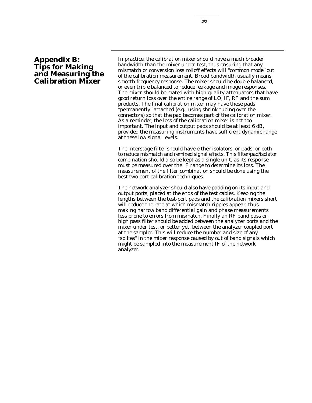# **Appendix B: Tips for Making and Measuring the Calibration Mixer**

In practice, the calibration mixer should have a much broader bandwidth than the mixer under test, thus ensuring that any mismatch or conversion loss rolloff effects will "common mode" out of the calibration measurement. Broad bandwidth usually means smooth frequency response. The mixer should be double balanced, or even triple balanced to reduce leakage and image responses. The mixer should be mated with high quality attenuators that have good return loss over the entire range of LO, IF, RF and the sum products. The final calibration mixer may have these pads "permanently" attached (e.g., using shrink tubing over the connectors) so that the pad becomes part of the calibration mixer. As a reminder, the loss of the calibration mixer is not too important. The input and output pads should be at least 6 dB, provided the measuring instruments have sufficient dynamic range at these low signal levels.

The interstage filter should have either isolators, or pads, or both to reduce mismatch and remixed signal effects. This filter/pad/isolator combination should also be kept as a single unit, as its response must be measured over the IF range to determine its loss. The measurement of the filter combination should be done using the best two-port calibration techniques.

The network analyzer should also have padding on its input and output ports, placed at the ends of the test cables. Keeping the lengths between the test-port pads and the calibration mixers short will reduce the rate at which mismatch ripples appear, thus making narrow band differential gain and phase measurements less prone to errors from mismatch. Finally an RF band pass or high pass filter should be added between the analyzer ports and the mixer under test, or better yet, between the analyzer coupled port at the sampler. This will reduce the number and size of any "spikes" in the mixer response caused by out of band signals which might be sampled into the measurement IF of the network analyzer.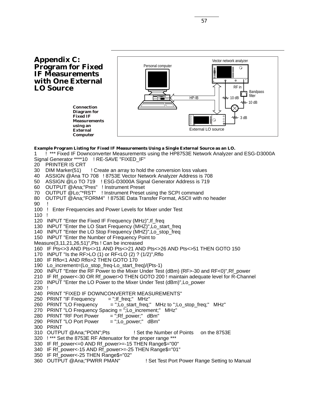**Appendix C: Program for Fixed IF Measurements with One External LO Source**

> **Connection Diagram for Fixed IF Measurements using an External Computer**



#### **Example Program Listing for Fixed IF Measurements Using a Single External Source as an LO.**

1 **!** \*\*\* Fixed IF Downconverter Measurements using the HP8753E Network Analyzer and ESG-D3000A Signal Generator \*\*\*\*10 ! RE-SAVE "FIXED\_IF" 20 PRINTER IS CRT 30 DIM Marker(51) ! Create an array to hold the conversion loss values 40 ASSIGN @Ana TO 708 ! 8753E Vector Network Analyzer Address is 708 50 ASSIGN @Lo TO 719 ! ESG-D3000A Signal Generator Address is 719 60 OUTPUT @Ana;"Pres" ! Instrument Preset 70 OUTPUT @Lo;"\*RST" ! Instrument Preset using the SCPI command 80 OUTPUT @Ana;"FORM4" ! 8753E Data Transfer Format, ASCII with no header 90 ! 100 ! Enter Frequencies and Power Levels for Mixer under Test 110 ! 120 INPUT "Enter the Fixed IF Frequency (MHz)",If\_freq 130 INPUT "Enter the LO Start Frequency (MHZ)",Lo\_start\_freq 140 INPUT "Enter the LO Stop Frequency (MHZ)",Lo\_stop\_freq 150 INPUT "Enter the Number of Frequency Point to Measure(3,11,21,26,51)",Pts ! Can be increased 160 IF Pts<>3 AND Pts<>11 AND Pts<>21 AND Pts<>26 AND Pts<>51 THEN GOTO 150 170 INPUT "Is the RF>LO (1) or RF<LO (2) ? (1/2)",Rflo 180 IF Rflo<1 AND Rflo>2 THEN GOTO 170 190 Lo\_increment=(Lo\_stop\_freq-Lo\_start\_freq)/(Pts-1) 200 INPUT "Enter the RF Power to the Mixer Under Test (dBm) (RF>-30 and RF<0)",Rf\_power 210 IF Rf\_power<-30 OR Rf\_power>0 THEN GOTO 200 ! maintain adequate level for R-Channel 220 INPUT "Enter the LO Power to the Mixer Under Test (dBm)",Lo\_power 230 ! 240 PRINT "FIXED IF DOWNCONVERTER MEASUREMENTS"<br>250 PRINT "IF Frequency = ";If\_freq;" MHz" 250 PRINT "IF Frequency 260 PRINT "LO Frequency = ";Lo\_start\_freq;" MHz to ";Lo\_stop\_freq;" MHz" 270 PRINT "LO Frequency Spacing = ";Lo\_increment;" MHz"<br>280 PRINT "RF Port Power = ";Rf\_power;" dBm" 280 PRINT "RF Port Power = ";Rf\_power;" dBm"<br>290 PRINT "LO Port Power = ";Lo\_power;" dBm" 290 PRINT "LO Port Power 300 PRINT 310 OUTPUT @Ana;"POIN";Pts ! Set the Number of Points on the 8753E 320 ! \*\*\* Set the 8753E RF Attenuator for the proper range \*\*\* 330 IF Rf\_power<=0 AND Rf\_power>=-15 THEN Range\$="00" 340 IF Rf\_power<-15 AND Rf\_power>=-25 THEN Range\$="01" 350 IF Rf\_power<-25 THEN Range\$="02" 360 OUTPUT @Ana;"PWRR PMAN" ! Set Test Port Power Range Setting to Manual

57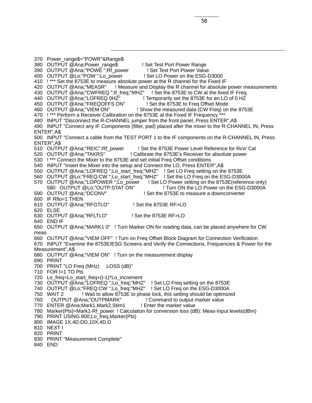370 Power\_range\$="POWR"&Range\$ 380 OUTPUT @Ana;Power\_range\$ 1 Set Test Port Power Range 390 OUTPUT @Ana;"POWE ";Rf\_power ! Set Test Port Power Value<br>400 OUTPUT @Lo:"POW ":Lo\_power ! Set LO Power on the ESG-D3000 400 OUTPUT @Lo;"POW ";Lo\_power 410 ! \*\*\* Set the 8753E to measure absolute power at the R channel for the Fixed IF 420 OUTPUT @Ana;"MEASR" ! Measure and Display the R channel for absolute power measurements 430 OUTPUT @Ana;"CWFREQ ";If\_freq;"MHZ" ! Set the 8753E to CW at the fixed IF Freq. 440 OUTPUT @Ana;"LOFREQ 0HZ" ! Temporarily set the 8753E for an LO of 0 HZ 450 OUTPUT @Ana;"FREQOFFS ON" ! Set the 8753E to Freq Offset Mode<br>460 OUTPUT @Ana;"VIEM ON" ! Show the measured data (CW Freq) on ! Show the measured data (CW Freq) on the 8753E 470 !\*\*\* Perform a Receiver Calibration on the 8753E at the Fixed IF Frequency 480 INPUT "Disconnect the R-CHANNEL jumper from the front panel, Press ENTER",A\$ 490 INPUT "Connect any IF Components (filter, pad) placed after the mixer to the R-CHANNEL IN, Press ENTER",A\$ 500 INPUT "Connect a cable from the TEST PORT 1 to the IF components on the R-CHANNEL IN, Press ENTER",A\$ 510 OUTPUT @Ana;"REIC";Rf\_power ! Set the 8753E Power Level Reference for Rcvr Cal 520 OUTPUT @Ana;"TAKRS" ! Calibrate the 8753E's Receiver for absolute power 530 ! \*\*\* Connect the Mixer to the 8753E and set initial Freq Offset conditions 540 INPUT "Insert the Mixer into the setup and Connect the LO, Press ENTER",A\$ 550 OUTPUT @Ana;"LOFREQ ";Lo\_start\_freq;"MHZ" ! Set LO Freq setting on the 8753E 560 OUTPUT @Lo;"FREQ:CW ";Lo\_start\_freq;"MHZ" ! Set the LO Freq on the ESG-D3000A 570 OUTPUT @Ana;"LOPOWER ";Lo\_power ! Set LO Power setting on the 8753E(reference only) 580 OUTPUT @Lo;"OUTP:STAT ON" ! Turn ON the LO Power on the ESG-D3000A 590 OUTPUT @Ana;"DCONV" ! Set the 8753E to measure a downconverter 600 IF Rflo=1 THEN 610 OUTPUT @Ana;"RFGTLO" ! Set the 8753E RF>LO 620 ELSE 630 OUTPUT @Ana;"RFLTLO" ! Set the 8753E RF>LO 640 END IF 650 OUTPUT @Ana;"MARK1 0" ! Turn Marker ON for reading data, can be placed anywhere for CW meas 660 OUTPUT @Ana;"VIEM OFF" ! Turn on Freq Offset Block Diagram for Connection Verification 670 INPUT "Examine the 8753E/ESG Screens and Verify the Connections, Frequencies & Power for the Measurement",A\$ 680 OUTPUT @Ana;"VIEM ON" ! Turn on the measurement display 690 PRINT 700 PRINT "LO Freq (MHz) LOSS (dB)" 710 FOR I=1 TO Pts 720 Lo\_freq=Lo\_start\_freq+(I-1)\*Lo\_increment 730 OUTPUT @Ana;"LOFREQ ";Lo\_freq;"MHZ" ! Set LO Freq setting on the 8753E 740 OUTPUT @Lo;"FREQ:CW ";Lo\_freq;"MHZ" ! Set LO Freq on the ESG-D3000A 750 WAIT 2 ! Wait to allow 8753E to phase lock, this setting should be optimized 760 OUTPUT @Ana;"OUTPMARK" ! Command to output marker value 770 ENTER @Ana;Mark1,Mark2,Stim1 ! Enter the marker value 780 Marker(Pts)=Mark1-Rf\_power ! Calculation for conversion loss (dB): Meas-Input levels(dBm) 790 PRINT USING 800;Lo\_freq,Marker(Pts) 800 IMAGE 1X,4D.DD,10X,4D.D 810 NEXT I 820 PRINT 830 PRINT "Measurement Complete"

840 END

58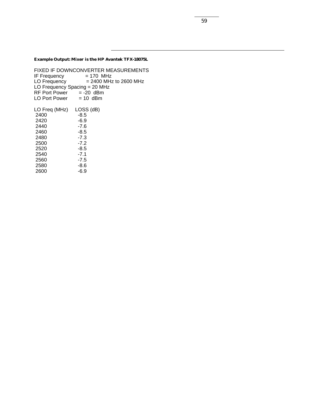**Example Output: Mixer is the HP Avantek TFX-18075L**

FIXED IF DOWNCONVERTER MEASUREMENTS<br>IF Frequency = 170 MHz IF Frequency<br>LO Frequency  $= 2400$  MHz to 2600 MHz LO Frequency Spacing = 20 MHz  $RF$  Port Power = -20 dBm LO Port Power  $= 10$  dBm LO Freq (MHz) LOSS (dB)  $2400$   $-8.5$ <br>2420  $-6.9$ 2420 -6.9<br>2440 -7.6 2440 -7.6<br>2460 -8.5 2460 -8.5<br>2480 -7.3 2480 -7.3<br>2500 -7.2 2500 -7.2<br>2520 -8.5 2520 -8.5<br>2540 -7.1 2540 -7.1<br>2560 -7.5 2560 -7.5<br>2580 -8.6 2580 -8.6<br>2600 -6.9 2600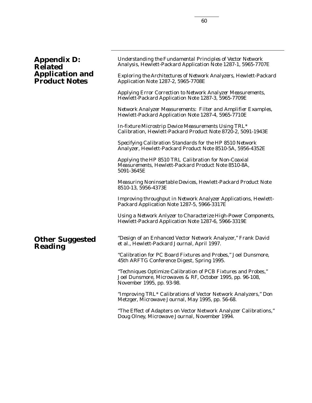# **Appendix D: Related Application and Product Notes**

*Understanding the Fundamental Principles of Vector Network Analysis,* Hewlett-Packard Application Note 1287-1, 5965-7707E

*Exploring the Architectures of Network Analyzers,* Hewlett-Packard Application Note 1287-2, 5965-7708E

*Applying Error Correction to Network Analyzer Measurements,* Hewlett-Packard Application Note 1287-3, 5965-7709E

*Network Analyzer Measurements: Filter and Amplifier Examples,* Hewlett-Packard Application Note 1287-4, 5965-7710E

*In-fixture Microstrip Device Measurements Using TRL\* Calibration,* Hewlett-Packard Product Note 8720-2, 5091-1943E

*Specifying Calibration Standards for the HP 8510 Network Analyzer,* Hewlett-Packard Product Note 8510-5A, 5956-4352E

*Applying the HP 8510 TRL Calibration for Non-Coaxial Measurements,* Hewlett-Packard Product Note 8510-8A, 5091-3645E

*Measuring Noninsertable Devices,* Hewlett-Packard Product Note 8510-13, 5956-4373E

*Improving throughput in Network Analyzer Applications,* Hewlett-Packard Application Note 1287-5, 5966-3317E

*Using a Network Anlyzer to Characterize High-Power Components,* Hewlett-Packard Application Note 1287-6, 5966-3319E

# **Other Suggested Reading**

"Design of an Enhanced Vector Network Analyzer," Frank David et al., Hewlett-Packard Journal, April 1997.

"Calibration for PC Board Fixtures and Probes," Joel Dunsmore, 45th ARFTG Conference Digest, Spring 1995.

"Techniques Optimize Calibration of PCB Fixtures and Probes," Joel Dunsmore, Microwaves & RF, October 1995, pp. 96-108, November 1995, pp. 93-98.

"Improving TRL\* Calibrations of Vector Network Analyzers," Don Metzger, Microwave Journal, May 1995, pp. 56-68.

"The Effect of Adapters on Vector Network Analyzer Calibrations," Doug Olney, Microwave Journal, November 1994.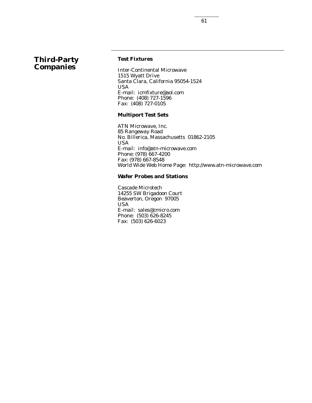# **Third-Party Companies**

# **Test Fixtures**

Inter-Continental Microwave 1515 Wyatt Drive Santa Clara, California 95054-1524 USA E-mail: icmfixture@aol.com Phone: (408) 727-1596 Fax: (408) 727-0105

## **Multiport Test Sets**

ATN Microwave, Inc. 85 Rangeway Road No. Billerica, Massachusetts 01862-2105 USA E-mail: info@atn-microwave.com Phone: (978) 667-4200 Fax: (978) 667-8548 World Wide Web Home Page: http://www.atn-microwave.com

# **Wafer Probes and Stations**

Cascade Microtech 14255 SW Brigadoon Court Beaverton, Oregon 97005 USA E-mail: sales@cmicro.com Phone: (503) 626-8245 Fax: (503) 626-6023